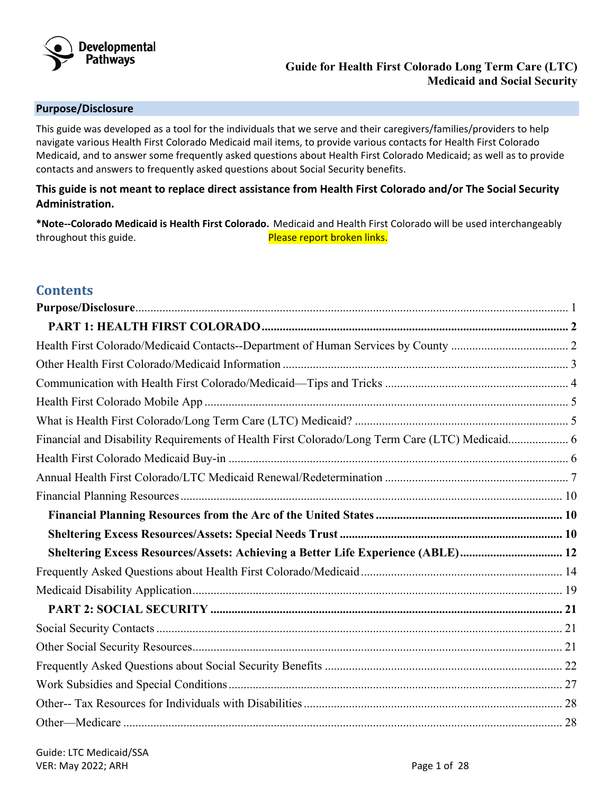

## <span id="page-0-0"></span>**Purpose/Disclosure**

This guide was developed as a tool for the individuals that we serve and their caregivers/families/providers to help navigate various Health First Colorado Medicaid mail items, to provide various contacts for Health First Colorado Medicaid, and to answer some frequently asked questions about Health First Colorado Medicaid; as well as to provide contacts and answers to frequently asked questions about Social Security benefits.

# **This guide is not meant to replace direct assistance from Health First Colorado and/or The Social Security Administration.**

**\*Note--Colorado Medicaid is Health First Colorado.** Medicaid and Health First Colorado will be used interchangeably throughout this guide. The same state of the process provided in the process of  $P$  rease report broken links.

# **Contents**

| Financial and Disability Requirements of Health First Colorado/Long Term Care (LTC) Medicaid 6 |  |
|------------------------------------------------------------------------------------------------|--|
|                                                                                                |  |
|                                                                                                |  |
|                                                                                                |  |
|                                                                                                |  |
|                                                                                                |  |
| Sheltering Excess Resources/Assets: Achieving a Better Life Experience (ABLE) 12               |  |
|                                                                                                |  |
|                                                                                                |  |
|                                                                                                |  |
|                                                                                                |  |
|                                                                                                |  |
|                                                                                                |  |
|                                                                                                |  |
|                                                                                                |  |
|                                                                                                |  |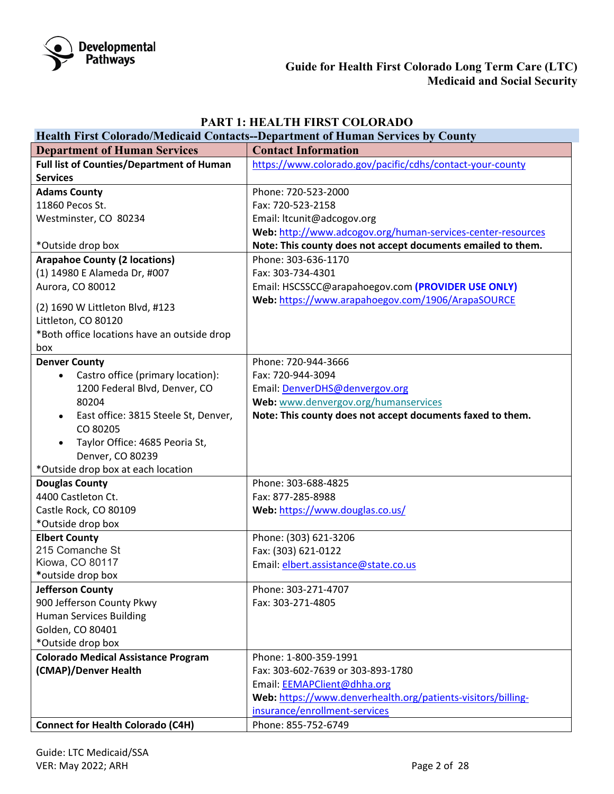

# **PART 1: HEALTH FIRST COLORADO**

<span id="page-1-1"></span><span id="page-1-0"></span>

| <b>Health First Colorado/Medicaid Contacts--Department of Human Services by County</b> |                                                              |  |  |  |
|----------------------------------------------------------------------------------------|--------------------------------------------------------------|--|--|--|
| <b>Department of Human Services</b>                                                    | <b>Contact Information</b>                                   |  |  |  |
| <b>Full list of Counties/Department of Human</b>                                       | https://www.colorado.gov/pacific/cdhs/contact-your-county    |  |  |  |
| <b>Services</b>                                                                        |                                                              |  |  |  |
| <b>Adams County</b>                                                                    | Phone: 720-523-2000                                          |  |  |  |
| 11860 Pecos St.                                                                        | Fax: 720-523-2158                                            |  |  |  |
| Westminster, CO 80234                                                                  | Email: ltcunit@adcogov.org                                   |  |  |  |
|                                                                                        | Web: http://www.adcogov.org/human-services-center-resources  |  |  |  |
| *Outside drop box                                                                      | Note: This county does not accept documents emailed to them. |  |  |  |
| <b>Arapahoe County (2 locations)</b>                                                   | Phone: 303-636-1170                                          |  |  |  |
| (1) 14980 E Alameda Dr, #007                                                           | Fax: 303-734-4301                                            |  |  |  |
| Aurora, CO 80012                                                                       | Email: HSCSSCC@arapahoegov.com (PROVIDER USE ONLY)           |  |  |  |
| (2) 1690 W Littleton Blvd, #123                                                        | Web: https://www.arapahoegov.com/1906/ArapaSOURCE            |  |  |  |
| Littleton, CO 80120                                                                    |                                                              |  |  |  |
| *Both office locations have an outside drop                                            |                                                              |  |  |  |
| box                                                                                    |                                                              |  |  |  |
| <b>Denver County</b>                                                                   | Phone: 720-944-3666                                          |  |  |  |
| Castro office (primary location):                                                      | Fax: 720-944-3094                                            |  |  |  |
| 1200 Federal Blvd, Denver, CO                                                          | Email: DenverDHS@denvergov.org                               |  |  |  |
| 80204                                                                                  | Web: www.denvergov.org/humanservices                         |  |  |  |
| East office: 3815 Steele St, Denver,                                                   | Note: This county does not accept documents faxed to them.   |  |  |  |
| CO 80205                                                                               |                                                              |  |  |  |
| Taylor Office: 4685 Peoria St,                                                         |                                                              |  |  |  |
| Denver, CO 80239                                                                       |                                                              |  |  |  |
| *Outside drop box at each location                                                     |                                                              |  |  |  |
| <b>Douglas County</b>                                                                  | Phone: 303-688-4825                                          |  |  |  |
| 4400 Castleton Ct.                                                                     | Fax: 877-285-8988                                            |  |  |  |
| Castle Rock, CO 80109                                                                  | Web: https://www.douglas.co.us/                              |  |  |  |
| *Outside drop box                                                                      |                                                              |  |  |  |
| <b>Elbert County</b>                                                                   | Phone: (303) 621-3206                                        |  |  |  |
| 215 Comanche St                                                                        | Fax: (303) 621-0122                                          |  |  |  |
| Kiowa, CO 80117                                                                        | Email: elbert.assistance@state.co.us                         |  |  |  |
| *outside drop box                                                                      |                                                              |  |  |  |
| <b>Jefferson County</b>                                                                | Phone: 303-271-4707<br>Fax: 303-271-4805                     |  |  |  |
| 900 Jefferson County Pkwy                                                              |                                                              |  |  |  |
| <b>Human Services Building</b><br>Golden, CO 80401                                     |                                                              |  |  |  |
| *Outside drop box                                                                      |                                                              |  |  |  |
| <b>Colorado Medical Assistance Program</b>                                             | Phone: 1-800-359-1991                                        |  |  |  |
| (CMAP)/Denver Health                                                                   | Fax: 303-602-7639 or 303-893-1780                            |  |  |  |
|                                                                                        | Email: EEMAPClient@dhha.org                                  |  |  |  |
|                                                                                        | Web: https://www.denverhealth.org/patients-visitors/billing- |  |  |  |
|                                                                                        | insurance/enrollment-services                                |  |  |  |
| <b>Connect for Health Colorado (C4H)</b>                                               | Phone: 855-752-6749                                          |  |  |  |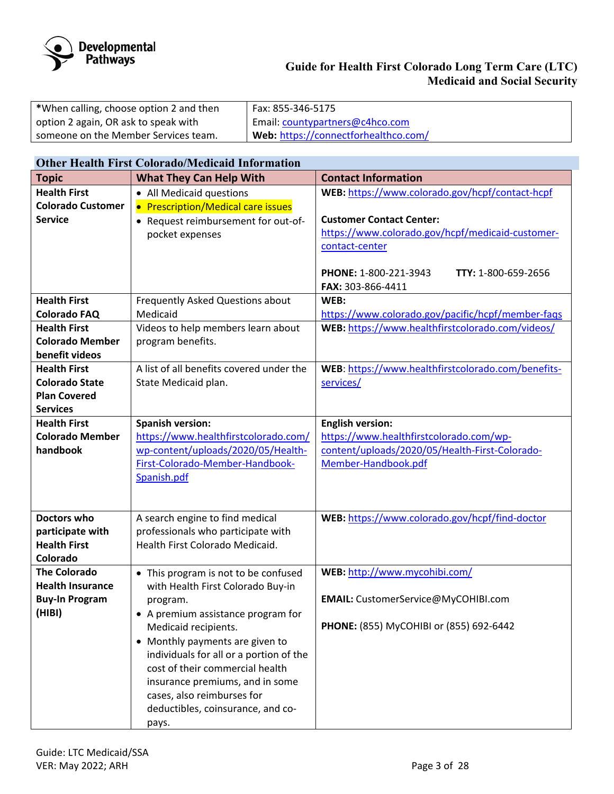

| *When calling, choose option 2 and then | l Fax: 855-346-5175                  |
|-----------------------------------------|--------------------------------------|
| option 2 again, OR ask to speak with    | Email: countypartners@c4hco.com      |
| someone on the Member Services team.    | Web: https://connectforhealthco.com/ |

# <span id="page-2-0"></span>**Other Health First Colorado/Medicaid Information**

| <b>Topic</b>             | <b>What They Can Help With</b>           | <b>Contact Information</b>                         |  |  |
|--------------------------|------------------------------------------|----------------------------------------------------|--|--|
| <b>Health First</b>      | • All Medicaid questions                 | WEB: https://www.colorado.gov/hcpf/contact-hcpf    |  |  |
| <b>Colorado Customer</b> | • Prescription/Medical care issues       |                                                    |  |  |
| <b>Service</b>           | • Request reimbursement for out-of-      | <b>Customer Contact Center:</b>                    |  |  |
|                          | pocket expenses                          | https://www.colorado.gov/hcpf/medicaid-customer-   |  |  |
|                          |                                          | contact-center                                     |  |  |
|                          |                                          |                                                    |  |  |
|                          |                                          | TTY: 1-800-659-2656<br>PHONE: 1-800-221-3943       |  |  |
|                          |                                          | FAX: 303-866-4411                                  |  |  |
| <b>Health First</b>      | Frequently Asked Questions about         | WEB:                                               |  |  |
| <b>Colorado FAQ</b>      | Medicaid                                 | https://www.colorado.gov/pacific/hcpf/member-faqs  |  |  |
| <b>Health First</b>      | Videos to help members learn about       | WEB: https://www.healthfirstcolorado.com/videos/   |  |  |
| <b>Colorado Member</b>   | program benefits.                        |                                                    |  |  |
| benefit videos           |                                          |                                                    |  |  |
| <b>Health First</b>      | A list of all benefits covered under the | WEB: https://www.healthfirstcolorado.com/benefits- |  |  |
| <b>Colorado State</b>    | State Medicaid plan.                     | services/                                          |  |  |
| <b>Plan Covered</b>      |                                          |                                                    |  |  |
| <b>Services</b>          |                                          |                                                    |  |  |
| <b>Health First</b>      | <b>Spanish version:</b>                  | <b>English version:</b>                            |  |  |
| <b>Colorado Member</b>   | https://www.healthfirstcolorado.com/     | https://www.healthfirstcolorado.com/wp-            |  |  |
| handbook                 | wp-content/uploads/2020/05/Health-       | content/uploads/2020/05/Health-First-Colorado-     |  |  |
|                          | First-Colorado-Member-Handbook-          | Member-Handbook.pdf                                |  |  |
|                          | Spanish.pdf                              |                                                    |  |  |
|                          |                                          |                                                    |  |  |
|                          |                                          |                                                    |  |  |
| <b>Doctors who</b>       | A search engine to find medical          | WEB: https://www.colorado.gov/hcpf/find-doctor     |  |  |
| participate with         | professionals who participate with       |                                                    |  |  |
| <b>Health First</b>      | Health First Colorado Medicaid.          |                                                    |  |  |
| Colorado                 |                                          |                                                    |  |  |
| <b>The Colorado</b>      | • This program is not to be confused     | WEB: http://www.mycohibi.com/                      |  |  |
| <b>Health Insurance</b>  | with Health First Colorado Buy-in        |                                                    |  |  |
| <b>Buy-In Program</b>    | program.                                 | EMAIL: CustomerService@MyCOHIBI.com                |  |  |
| (HIBI)                   | • A premium assistance program for       |                                                    |  |  |
|                          | Medicaid recipients.                     | PHONE: (855) MyCOHIBI or (855) 692-6442            |  |  |
|                          | • Monthly payments are given to          |                                                    |  |  |
|                          | individuals for all or a portion of the  |                                                    |  |  |
|                          | cost of their commercial health          |                                                    |  |  |
|                          | insurance premiums, and in some          |                                                    |  |  |
|                          | cases, also reimburses for               |                                                    |  |  |
|                          | deductibles, coinsurance, and co-        |                                                    |  |  |
|                          | pays.                                    |                                                    |  |  |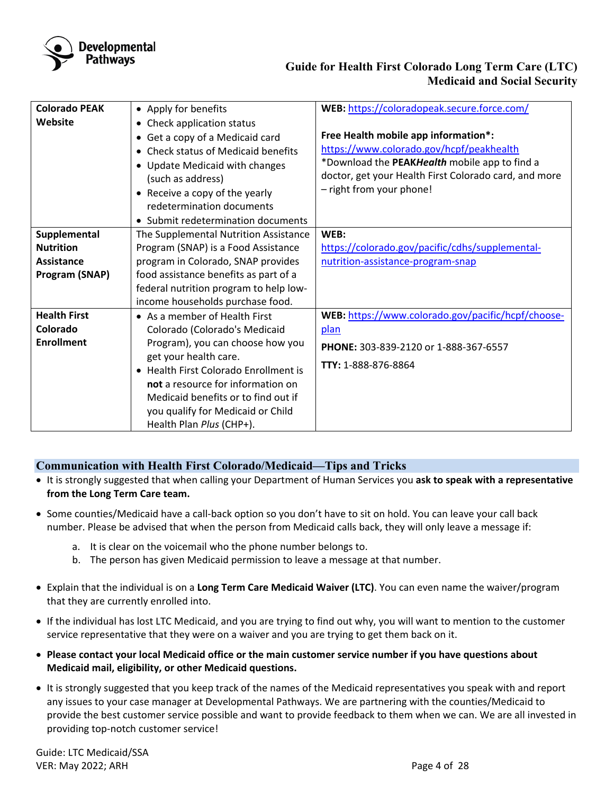

| <b>Colorado PEAK</b> | • Apply for benefits                                      | WEB: https://coloradopeak.secure.force.com/           |  |  |
|----------------------|-----------------------------------------------------------|-------------------------------------------------------|--|--|
| Website              | • Check application status                                |                                                       |  |  |
|                      | • Get a copy of a Medicaid card                           | Free Health mobile app information*:                  |  |  |
|                      | • Check status of Medicaid benefits                       | https://www.colorado.gov/hcpf/peakhealth              |  |  |
|                      | • Update Medicaid with changes                            | *Download the PEAKHealth mobile app to find a         |  |  |
|                      | (such as address)                                         | doctor, get your Health First Colorado card, and more |  |  |
|                      | • Receive a copy of the yearly                            | - right from your phone!                              |  |  |
|                      | redetermination documents                                 |                                                       |  |  |
|                      | • Submit redetermination documents                        |                                                       |  |  |
| Supplemental         | The Supplemental Nutrition Assistance                     | WEB:                                                  |  |  |
| <b>Nutrition</b>     | Program (SNAP) is a Food Assistance                       | https://colorado.gov/pacific/cdhs/supplemental-       |  |  |
| <b>Assistance</b>    | program in Colorado, SNAP provides                        | nutrition-assistance-program-snap                     |  |  |
| Program (SNAP)       | food assistance benefits as part of a                     |                                                       |  |  |
|                      | federal nutrition program to help low-                    |                                                       |  |  |
|                      | income households purchase food.                          |                                                       |  |  |
| <b>Health First</b>  | $\bullet$ As a member of Health First                     | WEB: https://www.colorado.gov/pacific/hcpf/choose-    |  |  |
| Colorado             | Colorado (Colorado's Medicaid                             | plan                                                  |  |  |
| <b>Enrollment</b>    | Program), you can choose how you<br>get your health care. | PHONE: 303-839-2120 or 1-888-367-6557                 |  |  |
|                      | • Health First Colorado Enrollment is                     | TTY: 1-888-876-8864                                   |  |  |
|                      | not a resource for information on                         |                                                       |  |  |
|                      | Medicaid benefits or to find out if                       |                                                       |  |  |
|                      | you qualify for Medicaid or Child                         |                                                       |  |  |
|                      | Health Plan Plus (CHP+).                                  |                                                       |  |  |
|                      |                                                           |                                                       |  |  |

# <span id="page-3-0"></span>**Communication with Health First Colorado/Medicaid—Tips and Tricks**

- It is strongly suggested that when calling your Department of Human Services you **ask to speak with a representative from the Long Term Care team.**
- Some counties/Medicaid have a call-back option so you don't have to sit on hold. You can leave your call back number. Please be advised that when the person from Medicaid calls back, they will only leave a message if:
	- a. It is clear on the voicemail who the phone number belongs to.
	- b. The person has given Medicaid permission to leave a message at that number.
- Explain that the individual is on a **Long Term Care Medicaid Waiver (LTC)**. You can even name the waiver/program that they are currently enrolled into.
- If the individual has lost LTC Medicaid, and you are trying to find out why, you will want to mention to the customer service representative that they were on a waiver and you are trying to get them back on it.
- **Please contact your local Medicaid office or the main customer service number if you have questions about Medicaid mail, eligibility, or other Medicaid questions.**
- It is strongly suggested that you keep track of the names of the Medicaid representatives you speak with and report any issues to your case manager at Developmental Pathways. We are partnering with the counties/Medicaid to provide the best customer service possible and want to provide feedback to them when we can. We are all invested in providing top-notch customer service!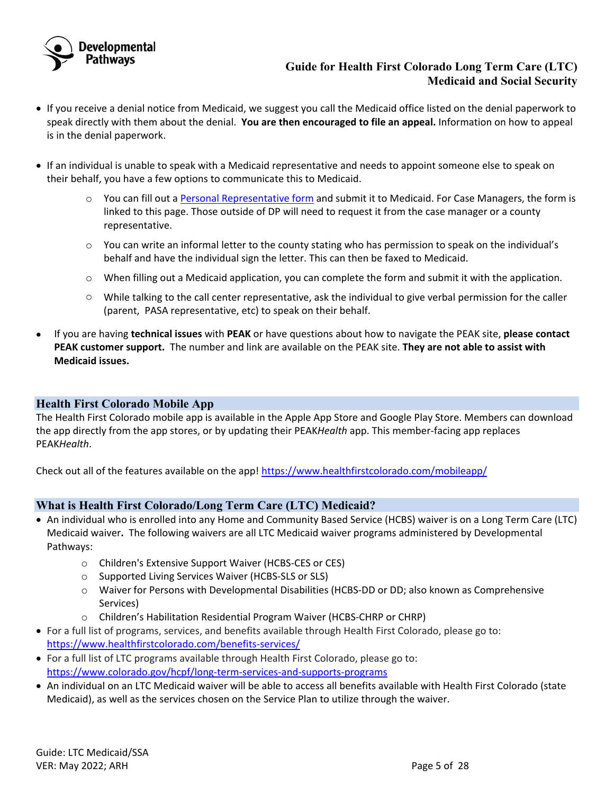

- If you receive a denial notice from Medicaid, we suggest you call the Medicaid office listed on the denial paperwork to speak directly with them about the denial. **You are then encouraged to file an appeal.** Information on how to appeal is in the denial paperwork.
- If an individual is unable to speak with a Medicaid representative and needs to appoint someone else to speak on their behalf, you have a few options to communicate this to Medicaid.
	- o You can fill out a [Personal Representative form](https://nmsco.sharepoint.com/:b:/r/sites/cm/cmdocs/Personal%20Representative%20Form.HCPF.pdf?csf=1) and submit it to Medicaid. For Case Managers, the form is linked to this page. Those outside of DP will need to request it from the case manager or a county representative.
	- o You can write an informal letter to the county stating who has permission to speak on the individual's behalf and have the individual sign the letter. This can then be faxed to Medicaid.
	- $\circ$  When filling out a Medicaid application, you can complete the form and submit it with the application.
	- o While talking to the call center representative, ask the individual to give verbal permission for the caller (parent, PASA representative, etc) to speak on their behalf.
- If you are having **technical issues** with **PEAK** or have questions about how to navigate the PEAK site, **please contact PEAK customer support.** The number and link are available on the PEAK site. **They are not able to assist with Medicaid issues.**

## <span id="page-4-0"></span>**Health First Colorado Mobile App**

The Health First Colorado mobile app is available in the Apple App Store and Google Play Store. Members can download the app directly from the app stores, or by updating their PEAK*Health* app. This member-facing app replaces PEAK*Health*.

Check out all of the features available on the app!<https://www.healthfirstcolorado.com/mobileapp/>

# <span id="page-4-1"></span>**What is Health First Colorado/Long Term Care (LTC) Medicaid?**

- An individual who is enrolled into any Home and Community Based Service (HCBS) waiver is on a Long Term Care (LTC) Medicaid waiver**.** The following waivers are all LTC Medicaid waiver programs administered by Developmental Pathways:
	- o Children's Extensive Support Waiver (HCBS-CES or CES)
	- o Supported Living Services Waiver (HCBS-SLS or SLS)
	- o Waiver for Persons with Developmental Disabilities (HCBS-DD or DD; also known as Comprehensive Services)
	- o Children's Habilitation Residential Program Waiver (HCBS-CHRP or CHRP)
- For a full list of programs, services, and benefits available through Health First Colorado, please go to: <https://www.healthfirstcolorado.com/benefits-services/>
- For a full list of LTC programs available through Health First Colorado, please go to: <https://www.colorado.gov/hcpf/long-term-services-and-supports-programs>
- An individual on an LTC Medicaid waiver will be able to access all benefits available with Health First Colorado (state Medicaid), as well as the services chosen on the Service Plan to utilize through the waiver.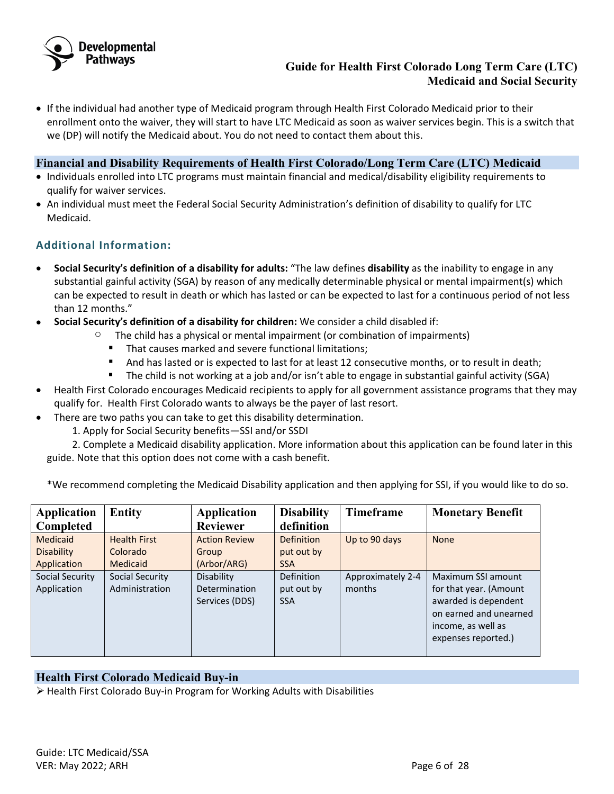

• If the individual had another type of Medicaid program through Health First Colorado Medicaid prior to their enrollment onto the waiver, they will start to have LTC Medicaid as soon as waiver services begin. This is a switch that we (DP) will notify the Medicaid about. You do not need to contact them about this.

# <span id="page-5-0"></span>**Financial and Disability Requirements of Health First Colorado/Long Term Care (LTC) Medicaid**

- Individuals enrolled into LTC programs must maintain financial and medical/disability eligibility requirements to qualify for waiver services.
- An individual must meet the Federal Social Security Administration's definition of disability to qualify for LTC Medicaid.

# **Additional Information:**

- **Social Security's definition of a disability for adults:** "The law defines **disability** as the inability to engage in any substantial gainful activity (SGA) by reason of any medically determinable physical or mental impairment(s) which can be expected to result in death or which has lasted or can be expected to last for a continuous period of not less than 12 months."
- **Social Security's definition of a disability for children:** We consider a child disabled if:
	- $\circ$  The child has a physical or mental impairment (or combination of impairments)
		- **That causes marked and severe functional limitations;**
		- And has lasted or is expected to last for at least 12 consecutive months, or to result in death;
		- The child is not working at a job and/or isn't able to engage in substantial gainful activity (SGA)
- Health First Colorado encourages Medicaid recipients to apply for all government assistance programs that they may qualify for. Health First Colorado wants to always be the payer of last resort.
- There are two paths you can take to get this disability determination.
	- 1. Apply for Social Security benefits—SSI and/or SSDI

2. Complete a Medicaid disability application. More information about this application can be found later in this guide. Note that this option does not come with a cash benefit.

\*We recommend completing the Medicaid Disability application and then applying for SSI, if you would like to do so.

| <b>Application</b> | <b>Entity</b>          | <b>Application</b>   | <b>Disability</b> | Timeframe         | <b>Monetary Benefit</b> |
|--------------------|------------------------|----------------------|-------------------|-------------------|-------------------------|
| <b>Completed</b>   |                        | <b>Reviewer</b>      | definition        |                   |                         |
| Medicaid           | <b>Health First</b>    | <b>Action Review</b> | <b>Definition</b> | Up to 90 days     | <b>None</b>             |
| <b>Disability</b>  | Colorado               | Group                | put out by        |                   |                         |
| Application        | Medicaid               | (Arbor/ARG)          | <b>SSA</b>        |                   |                         |
| Social Security    | <b>Social Security</b> | Disability           | <b>Definition</b> | Approximately 2-4 | Maximum SSI amount      |
| Application        | Administration         | Determination        | put out by        | months            | for that year. (Amount  |
|                    |                        | Services (DDS)       | <b>SSA</b>        |                   | awarded is dependent    |
|                    |                        |                      |                   |                   | on earned and unearned  |
|                    |                        |                      |                   |                   | income, as well as      |
|                    |                        |                      |                   |                   | expenses reported.)     |
|                    |                        |                      |                   |                   |                         |

### <span id="page-5-1"></span>**Health First Colorado Medicaid Buy-in**

 $\triangleright$  Health First Colorado Buy-in Program for Working Adults with Disabilities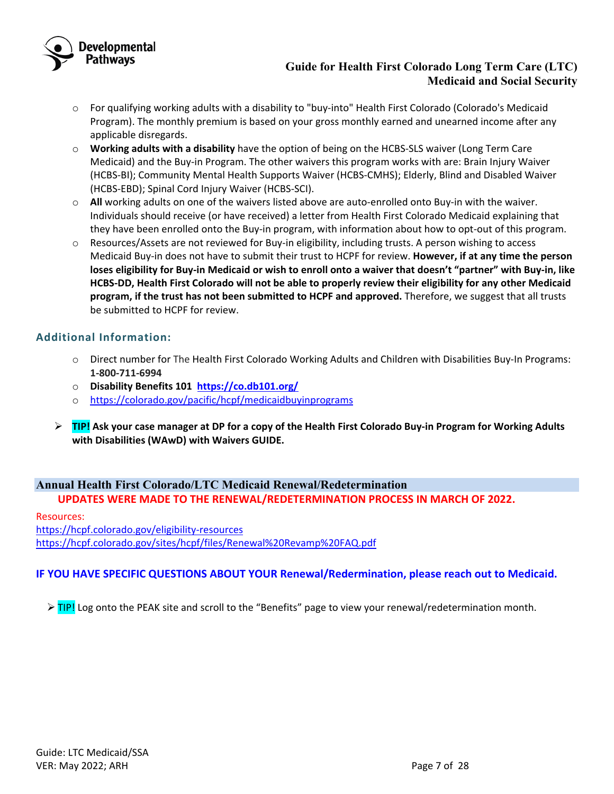

- o For qualifying working adults with a disability to "buy-into" Health First Colorado (Colorado's Medicaid Program). The monthly premium is based on your gross monthly earned and unearned income after any applicable disregards.
- o **Working adults with a disability** have the option of being on the HCBS-SLS waiver (Long Term Care Medicaid) and the Buy-in Program. The other waivers this program works with are: Brain Injury Waiver (HCBS-BI); Community Mental Health Supports Waiver (HCBS-CMHS); Elderly, Blind and Disabled Waiver (HCBS-EBD); Spinal Cord Injury Waiver (HCBS-SCI).
- o **All** working adults on one of the waivers listed above are auto-enrolled onto Buy-in with the waiver. Individuals should receive (or have received) a letter from Health First Colorado Medicaid explaining that they have been enrolled onto the Buy-in program, with information about how to opt-out of this program.
- o Resources/Assets are not reviewed for Buy-in eligibility, including trusts. A person wishing to access Medicaid Buy-in does not have to submit their trust to HCPF for review. **However, if at any time the person loses eligibility for Buy-in Medicaid or wish to enroll onto a waiver that doesn't "partner" with Buy-in, like HCBS-DD, Health First Colorado will not be able to properly review their eligibility for any other Medicaid program, if the trust has not been submitted to HCPF and approved.** Therefore, we suggest that all trusts be submitted to HCPF for review.

## **Additional Information:**

- o Direct number for The Health First Colorado Working Adults and Children with Disabilities Buy-In Programs: **1-800-711-6994**
- o **Disability Benefits 101<https://co.db101.org/>**
- o <https://colorado.gov/pacific/hcpf/medicaidbuyinprograms>
- **TIP! Ask your case manager at DP for a copy of the Health First Colorado Buy-in Program for Working Adults with Disabilities (WAwD) with Waivers GUIDE.**

# <span id="page-6-0"></span>**Annual Health First Colorado/LTC Medicaid Renewal/Redetermination UPDATES WERE MADE TO THE RENEWAL/REDETERMINATION PROCESS IN MARCH OF 2022.**

Resources: <https://hcpf.colorado.gov/eligibility-resources> <https://hcpf.colorado.gov/sites/hcpf/files/Renewal%20Revamp%20FAQ.pdf>

# **IF YOU HAVE SPECIFIC QUESTIONS ABOUT YOUR Renewal/Redermination, please reach out to Medicaid.**

 $\triangleright$  TIP! Log onto the PEAK site and scroll to the "Benefits" page to view your renewal/redetermination month.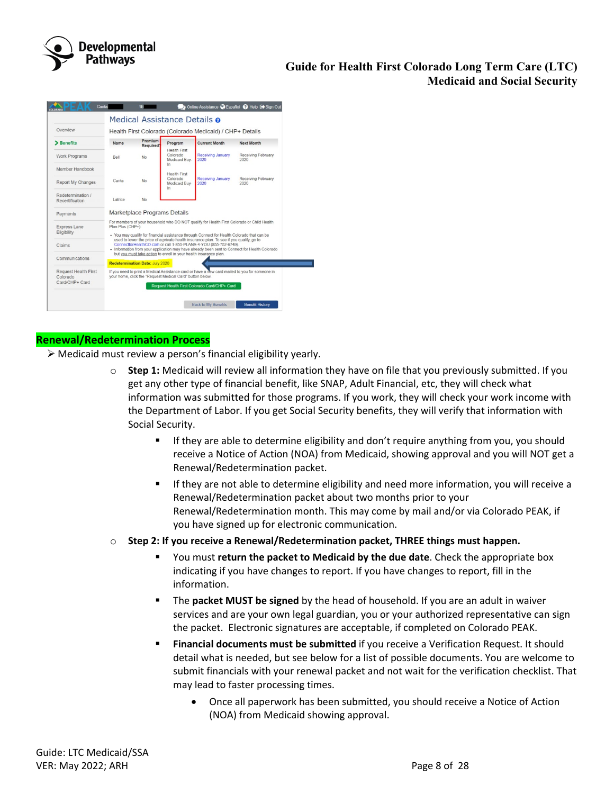

| Overview                             |                                                                                                                                                             |                                                          |                                                                   |                                                                                                                                                              |                                                                                               |  |  |  |
|--------------------------------------|-------------------------------------------------------------------------------------------------------------------------------------------------------------|----------------------------------------------------------|-------------------------------------------------------------------|--------------------------------------------------------------------------------------------------------------------------------------------------------------|-----------------------------------------------------------------------------------------------|--|--|--|
|                                      |                                                                                                                                                             | Health First Colorado (Colorado Medicaid) / CHP+ Details |                                                                   |                                                                                                                                                              |                                                                                               |  |  |  |
| > Benefits                           | Name                                                                                                                                                        | Premium<br>Required <sup>1</sup>                         | Program<br><b>Health First</b>                                    | <b>Current Month</b>                                                                                                                                         | Next Month                                                                                    |  |  |  |
| <b>Work Programs</b>                 | <b>Rell</b>                                                                                                                                                 | No                                                       | Colorado<br>Medicaid Buv-<br>$\ln$                                | Receiving January<br>2020                                                                                                                                    | Receiving February<br>2020                                                                    |  |  |  |
| Member Handbook                      |                                                                                                                                                             |                                                          |                                                                   |                                                                                                                                                              |                                                                                               |  |  |  |
| <b>Report My Changes</b>             | Carita                                                                                                                                                      | <b>No</b>                                                | <b>Health First</b><br>Colorado<br>Medicaid Buy-<br>In            | Receiving January<br>2020                                                                                                                                    | Receiving February<br>2020                                                                    |  |  |  |
| Redetermination /<br>Recertification | Latrice                                                                                                                                                     | <b>No</b>                                                |                                                                   |                                                                                                                                                              |                                                                                               |  |  |  |
| Payments                             |                                                                                                                                                             | Marketplace Programs Details                             |                                                                   |                                                                                                                                                              |                                                                                               |  |  |  |
| <b>Express Lane</b><br>Eligibility   | Plan Plus (CHP+):                                                                                                                                           |                                                          |                                                                   | . You may qualify for financial assistance through Connect for Health Colorado that can be                                                                   | For members of your household who DO NOT qualify for Health First Colorado or Child Health    |  |  |  |
| Claims                               |                                                                                                                                                             |                                                          |                                                                   | used to lower the price of a private health insurance plan. To see if you qualify, go to<br>ConnectforHealthCO.com or call 1-855-PLANS-4-YOU (855-752-6749). | . Information from your application may have already been sent to Connect for Health Colorado |  |  |  |
| Communications                       |                                                                                                                                                             | <b>Redetermination Date: July 2020</b>                   | but you must take action to enroll in your health insurance plan. |                                                                                                                                                              |                                                                                               |  |  |  |
| Request Health First<br>Colorado     | If you need to print a Medical Assistance card or have a new card mailed to you for someone in<br>your home, click the "Request Medical Card" button below. |                                                          |                                                                   |                                                                                                                                                              |                                                                                               |  |  |  |
| Card/CHP+ Card                       |                                                                                                                                                             |                                                          |                                                                   | Request Health First Colorado Card/CHP+ Card                                                                                                                 |                                                                                               |  |  |  |

## **Renewal/Redetermination Process**

- $\triangleright$  Medicaid must review a person's financial eligibility yearly.
	- **Step 1:** Medicaid will review all information they have on file that you previously submitted. If you get any other type of financial benefit, like SNAP, Adult Financial, etc, they will check what information was submitted for those programs. If you work, they will check your work income with the Department of Labor. If you get Social Security benefits, they will verify that information with Social Security.
		- **If they are able to determine eligibility and don't require anything from you, you should** receive a Notice of Action (NOA) from Medicaid, showing approval and you will NOT get a Renewal/Redetermination packet.
		- **If they are not able to determine eligibility and need more information, you will receive a** Renewal/Redetermination packet about two months prior to your Renewal/Redetermination month. This may come by mail and/or via Colorado PEAK, if you have signed up for electronic communication.
	- o **Step 2: If you receive a Renewal/Redetermination packet, THREE things must happen.** 
		- You must **return the packet to Medicaid by the due date**. Check the appropriate box indicating if you have changes to report. If you have changes to report, fill in the information.
		- The **packet MUST be signed** by the head of household. If you are an adult in waiver services and are your own legal guardian, you or your authorized representative can sign the packet. Electronic signatures are acceptable, if completed on Colorado PEAK.
		- **Financial documents must be submitted** if you receive a Verification Request. It should detail what is needed, but see below for a list of possible documents. You are welcome to submit financials with your renewal packet and not wait for the verification checklist. That may lead to faster processing times.
			- Once all paperwork has been submitted, you should receive a Notice of Action (NOA) from Medicaid showing approval.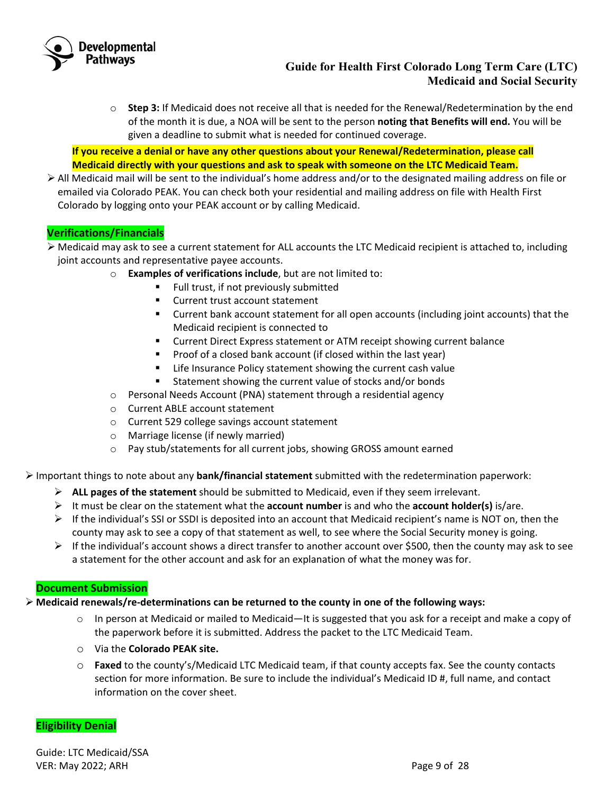

o **Step 3:** If Medicaid does not receive all that is needed for the Renewal/Redetermination by the end of the month it is due, a NOA will be sent to the person **noting that Benefits will end.** You will be given a deadline to submit what is needed for continued coverage.

**If you receive a denial or have any other questions about your Renewal/Redetermination, please call Medicaid directly with your questions and ask to speak with someone on the LTC Medicaid Team.** 

 $\triangleright$  All Medicaid mail will be sent to the individual's home address and/or to the designated mailing address on file or emailed via Colorado PEAK. You can check both your residential and mailing address on file with Health First Colorado by logging onto your PEAK account or by calling Medicaid.

# **Verifications/Financials**

- Medicaid may ask to see a current statement for ALL accounts the LTC Medicaid recipient is attached to, including joint accounts and representative payee accounts.
	- o **Examples of verifications include**, but are not limited to:
		- **Full trust, if not previously submitted**
		- **EXECUTE:** Current trust account statement
		- Current bank account statement for all open accounts (including joint accounts) that the Medicaid recipient is connected to
		- **EXPLO THE CURTER IS CURTE 15 IN THE CURTE IS CONTEX THE CONTEX FIGURE IS CONTEX IS CURTE**
		- **Proof of a closed bank account (if closed within the last year)**
		- **EXTE:** Life Insurance Policy statement showing the current cash value
		- Statement showing the current value of stocks and/or bonds
	- o Personal Needs Account (PNA) statement through a residential agency
	- o Current ABLE account statement
	- o Current 529 college savings account statement
	- o Marriage license (if newly married)
	- o Pay stub/statements for all current jobs, showing GROSS amount earned

Important things to note about any **bank/financial statement** submitted with the redetermination paperwork:

- **ALL pages of the statement** should be submitted to Medicaid, even if they seem irrelevant.
- It must be clear on the statement what the **account number** is and who the **account holder(s)** is/are.
- $\triangleright$  If the individual's SSI or SSDI is deposited into an account that Medicaid recipient's name is NOT on, then the county may ask to see a copy of that statement as well, to see where the Social Security money is going.
- $\triangleright$  If the individual's account shows a direct transfer to another account over \$500, then the county may ask to see a statement for the other account and ask for an explanation of what the money was for.

# **Document Submission**

### **Medicaid renewals/re-determinations can be returned to the county in one of the following ways:**

- $\circ$  In person at Medicaid or mailed to Medicaid—It is suggested that you ask for a receipt and make a copy of the paperwork before it is submitted. Address the packet to the LTC Medicaid Team.
- o Via the **Colorado PEAK site.**
- o **Faxed** to the county's/Medicaid LTC Medicaid team, if that county accepts fax. See the county contacts section for more information. Be sure to include the individual's Medicaid ID #, full name, and contact information on the cover sheet.

# **Eligibility Denial**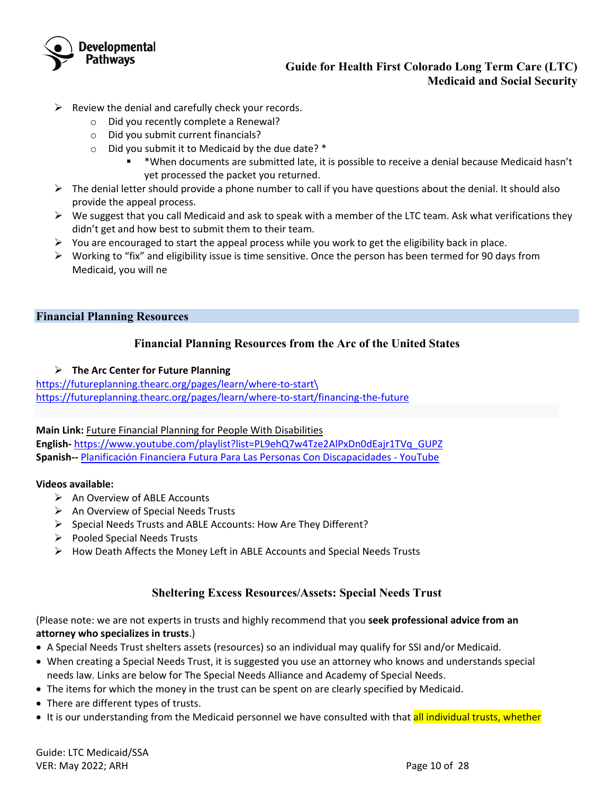

- $\triangleright$  Review the denial and carefully check your records.
	- o Did you recently complete a Renewal?
	- o Did you submit current financials?
	- $\circ$  Did you submit it to Medicaid by the due date?  $*$ 
		- \*When documents are submitted late, it is possible to receive a denial because Medicaid hasn't yet processed the packet you returned.
- $\triangleright$  The denial letter should provide a phone number to call if you have questions about the denial. It should also provide the appeal process.
- $\triangleright$  We suggest that you call Medicaid and ask to speak with a member of the LTC team. Ask what verifications they didn't get and how best to submit them to their team.
- $\triangleright$  You are encouraged to start the appeal process while you work to get the eligibility back in place.
- $\triangleright$  Working to "fix" and eligibility issue is time sensitive. Once the person has been termed for 90 days from Medicaid, you will ne

### <span id="page-9-1"></span><span id="page-9-0"></span>**Financial Planning Resources**

## **Financial Planning Resources from the Arc of the United States**

#### **The Arc Center for Future Planning**

[https://futureplanning.thearc.org/pages/learn/where-to-start\](https://futureplanning.thearc.org/pages/learn/where-to-start/) <https://futureplanning.thearc.org/pages/learn/where-to-start/financing-the-future>

**Main Link:** [Future Financial Planning for People With Disabilities](https://www.youtube.com/watch?v=BTP_a3kpOGs&list=PL9ehQ7w4Tze2AlPxDn0dEajr1TVq_GUPZ)  **English-** [https://www.youtube.com/playlist?list=PL9ehQ7w4Tze2AlPxDn0dEajr1TVq\\_GUPZ](https://www.youtube.com/playlist?list=PL9ehQ7w4Tze2AlPxDn0dEajr1TVq_GUPZ) **Spanish--** [Planificación Financiera Futura Para Las Personas Con Discapacidades - YouTube](https://www.youtube.com/playlist?list=PL9ehQ7w4Tze0NnbQhmLPMhV2xmF2zpZfV)

#### **Videos available:**

- $\triangleright$  An Overview of ABLE Accounts
- $\triangleright$  An Overview of Special Needs Trusts
- $\triangleright$  Special Needs Trusts and ABLE Accounts: How Are They Different?
- $\triangleright$  Pooled Special Needs Trusts
- $\triangleright$  How Death Affects the Money Left in ABLE Accounts and Special Needs Trusts

### **Sheltering Excess Resources/Assets: Special Needs Trust**

<span id="page-9-2"></span>(Please note: we are not experts in trusts and highly recommend that you **seek professional advice from an attorney who specializes in trusts**.)

- A Special Needs Trust shelters assets (resources) so an individual may qualify for SSI and/or Medicaid.
- When creating a Special Needs Trust, it is suggested you use an attorney who knows and understands special needs law. Links are below for The Special Needs Alliance and Academy of Special Needs.
- The items for which the money in the trust can be spent on are clearly specified by Medicaid.
- There are different types of trusts.
- It is our understanding from the Medicaid personnel we have consulted with that all individual trusts, whether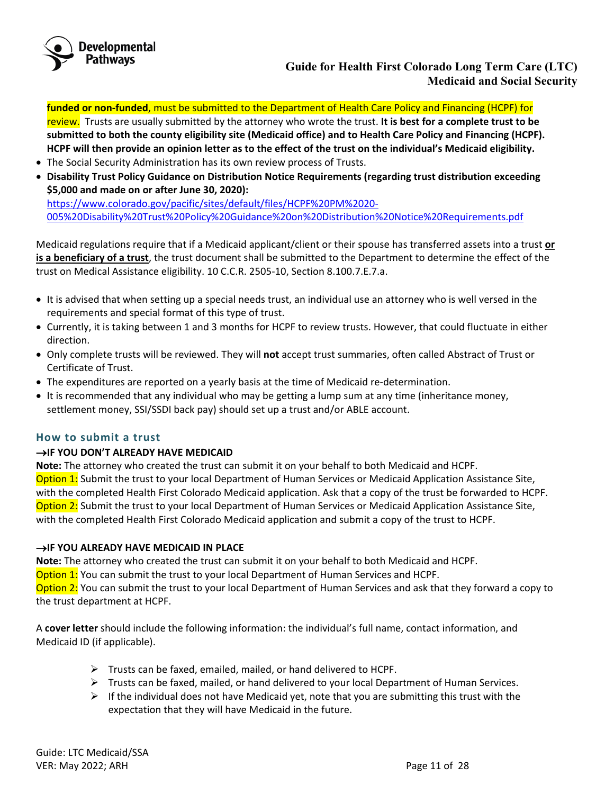

**funded or non-funded**, must be submitted to the Department of Health Care Policy and Financing (HCPF) for

review. Trusts are usually submitted by the attorney who wrote the trust. **It is best for a complete trust to be submitted to both the county eligibility site (Medicaid office) and to Health Care Policy and Financing (HCPF). HCPF will then provide an opinion letter as to the effect of the trust on the individual's Medicaid eligibility.** 

- The Social Security Administration has its own review process of Trusts.
- **Disability Trust Policy Guidance on Distribution Notice Requirements (regarding trust distribution exceeding \$5,000 and made on or after June 30, 2020):**

[https://www.colorado.gov/pacific/sites/default/files/HCPF%20PM%2020-](https://www.colorado.gov/pacific/sites/default/files/HCPF%20PM%2020-005%20Disability%20Trust%20Policy%20Guidance%20on%20Distribution%20Notice%20Requirements.pdf) [005%20Disability%20Trust%20Policy%20Guidance%20on%20Distribution%20Notice%20Requirements.pdf](https://www.colorado.gov/pacific/sites/default/files/HCPF%20PM%2020-005%20Disability%20Trust%20Policy%20Guidance%20on%20Distribution%20Notice%20Requirements.pdf)

Medicaid regulations require that if a Medicaid applicant/client or their spouse has transferred assets into a trust **or is a beneficiary of a trust**, the trust document shall be submitted to the Department to determine the effect of the trust on Medical Assistance eligibility. 10 C.C.R. 2505-10, Section 8.100.7.E.7.a.

- It is advised that when setting up a special needs trust, an individual use an attorney who is well versed in the requirements and special format of this type of trust.
- Currently, it is taking between 1 and 3 months for HCPF to review trusts. However, that could fluctuate in either direction.
- Only complete trusts will be reviewed. They will **not** accept trust summaries, often called Abstract of Trust or Certificate of Trust.
- The expenditures are reported on a yearly basis at the time of Medicaid re-determination.
- It is recommended that any individual who may be getting a lump sum at any time (inheritance money, settlement money, SSI/SSDI back pay) should set up a trust and/or ABLE account.

### **How to submit a trust**

### →**IF YOU DON'T ALREADY HAVE MEDICAID**

**Note:** The attorney who created the trust can submit it on your behalf to both Medicaid and HCPF. Option 1: Submit the trust to your local Department of Human Services or Medicaid Application Assistance Site, with the completed Health First Colorado Medicaid application. Ask that a copy of the trust be forwarded to HCPF. Option 2: Submit the trust to your local Department of Human Services or Medicaid Application Assistance Site, with the completed Health First Colorado Medicaid application and submit a copy of the trust to HCPF.

### →**IF YOU ALREADY HAVE MEDICAID IN PLACE**

**Note:** The attorney who created the trust can submit it on your behalf to both Medicaid and HCPF. Option 1: You can submit the trust to your local Department of Human Services and HCPF. Option 2: You can submit the trust to your local Department of Human Services and ask that they forward a copy to the trust department at HCPF.

A **cover letter** should include the following information: the individual's full name, contact information, and Medicaid ID (if applicable).

- $\triangleright$  Trusts can be faxed, emailed, mailed, or hand delivered to HCPF.
- $\triangleright$  Trusts can be faxed, mailed, or hand delivered to your local Department of Human Services.
- $\triangleright$  If the individual does not have Medicaid yet, note that you are submitting this trust with the expectation that they will have Medicaid in the future.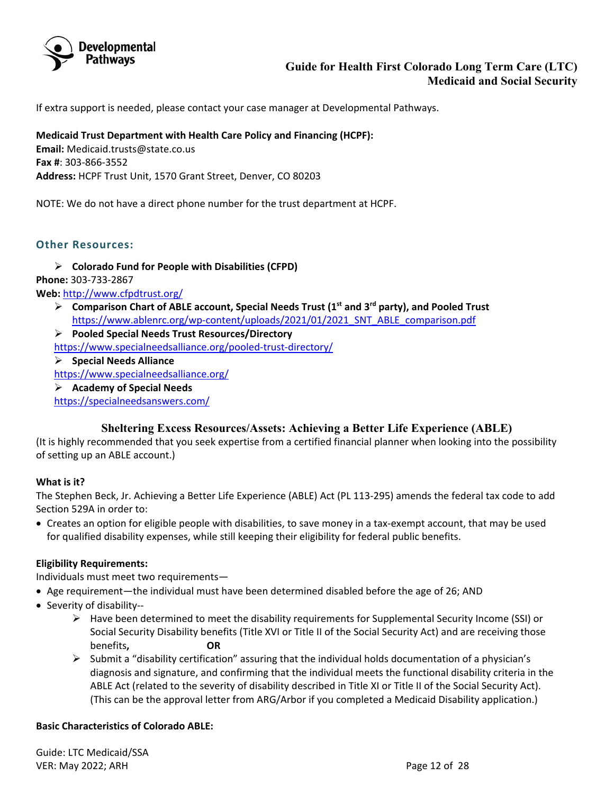

If extra support is needed, please contact your case manager at Developmental Pathways.

**Medicaid Trust Department with Health Care Policy and Financing (HCPF): Email:** Medicaid.trusts@state.co.us **Fax #**: 303-866-3552 **Address:** HCPF Trust Unit, 1570 Grant Street, Denver, CO 80203

NOTE: We do not have a direct phone number for the trust department at HCPF.

### **Other Resources:**

**Colorado Fund for People with Disabilities (CFPD)**

**Phone:** 303-733-2867

**Web:** <http://www.cfpdtrust.org/>

- **Comparison Chart of ABLE account, Special Needs Trust (1st and 3rd party), and Pooled Trust** [https://www.ablenrc.org/wp-content/uploads/2021/01/2021\\_SNT\\_ABLE\\_comparison.pdf](https://www.ablenrc.org/wp-content/uploads/2021/01/2021_SNT_ABLE_comparison.pdf)
- **Pooled Special Needs Trust Resources/Directory**

<https://www.specialneedsalliance.org/pooled-trust-directory/>

**Special Needs Alliance**

<https://www.specialneedsalliance.org/>

**Academy of Special Needs**

<https://specialneedsanswers.com/>

### **Sheltering Excess Resources/Assets: Achieving a Better Life Experience (ABLE)**

<span id="page-11-0"></span>(It is highly recommended that you seek expertise from a certified financial planner when looking into the possibility of setting up an ABLE account.)

#### **What is it?**

The Stephen Beck, Jr. Achieving a Better Life Experience (ABLE) Act (PL 113-295) amends the federal tax code to add Section 529A in order to:

• Creates an option for eligible people with disabilities, to save money in a tax-exempt account, that may be used for qualified disability expenses, while still keeping their eligibility for federal public benefits.

#### **Eligibility Requirements:**

Individuals must meet two requirements—

- Age requirement—the individual must have been determined disabled before the age of 26; AND
- Severity of disability--
	- $\triangleright$  Have been determined to meet the disability requirements for Supplemental Security Income (SSI) or Social Security Disability benefits (Title XVI or Title II of the Social Security Act) and are receiving those benefits**, OR**
	- $\triangleright$  Submit a "disability certification" assuring that the individual holds documentation of a physician's diagnosis and signature, and confirming that the individual meets the functional disability criteria in the ABLE Act (related to the severity of disability described in Title XI or Title II of the Social Security Act). (This can be the approval letter from ARG/Arbor if you completed a Medicaid Disability application.)

### **Basic Characteristics of Colorado ABLE:**

Guide: LTC Medicaid/SSA VER: May 2022; ARH Page 12 of 28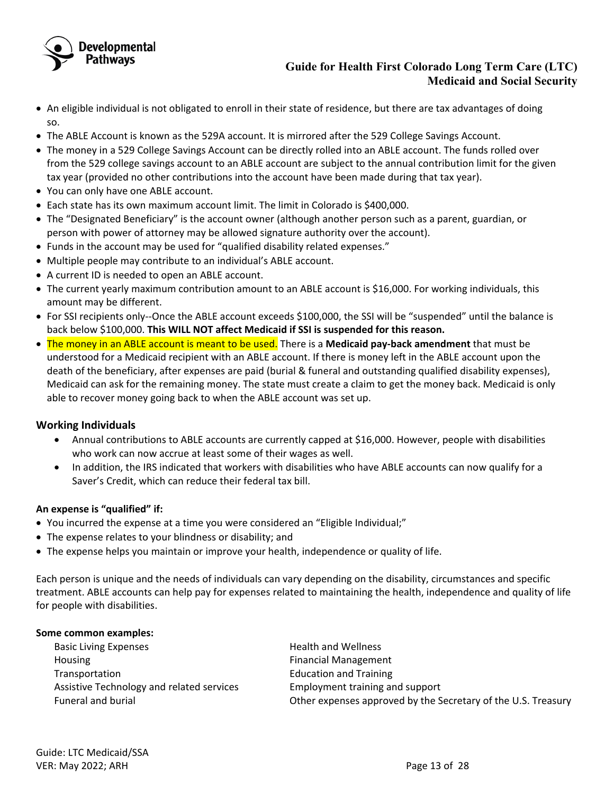

- An eligible individual is not obligated to enroll in their state of residence, but there are tax advantages of doing so.
- The ABLE Account is known as the 529A account. It is mirrored after the 529 College Savings Account.
- The money in a 529 College Savings Account can be directly rolled into an ABLE account. The funds rolled over from the 529 college savings account to an ABLE account are subject to the annual contribution limit for the given tax year (provided no other contributions into the account have been made during that tax year).
- You can only have one ABLE account.
- Each state has its own maximum account limit. The limit in Colorado is \$400,000.
- The "Designated Beneficiary" is the account owner (although another person such as a parent, guardian, or person with power of attorney may be allowed signature authority over the account).
- Funds in the account may be used for "qualified disability related expenses."
- Multiple people may contribute to an individual's ABLE account.
- A current ID is needed to open an ABLE account.
- The current yearly maximum contribution amount to an ABLE account is \$16,000. For working individuals, this amount may be different.
- For SSI recipients only--Once the ABLE account exceeds \$100,000, the SSI will be "suspended" until the balance is back below \$100,000. **This WILL NOT affect Medicaid if SSI is suspended for this reason.**
- The money in an ABLE account is meant to be used. There is a **Medicaid pay-back amendment** that must be understood for a Medicaid recipient with an ABLE account. If there is money left in the ABLE account upon the death of the beneficiary, after expenses are paid (burial & funeral and outstanding qualified disability expenses), Medicaid can ask for the remaining money. The state must create a claim to get the money back. Medicaid is only able to recover money going back to when the ABLE account was set up.

### **Working Individuals**

- Annual contributions to ABLE accounts are currently capped at \$16,000. However, people with disabilities who work can now accrue at least some of their wages as well.
- In addition, the IRS indicated that workers with disabilities who have ABLE accounts can now qualify for a Saver's Credit, which can reduce their federal tax bill.

### **An expense is "qualified" if:**

- You incurred the expense at a time you were considered an "Eligible Individual;"
- The expense relates to your blindness or disability; and
- The expense helps you maintain or improve your health, independence or quality of life.

Each person is unique and the needs of individuals can vary depending on the disability, circumstances and specific treatment. ABLE accounts can help pay for expenses related to maintaining the health, independence and quality of life for people with disabilities.

#### **Some common examples:**

| <b>Basic Living Expenses</b>              | <b>Health and Wellness</b>                                    |
|-------------------------------------------|---------------------------------------------------------------|
| Housing                                   | <b>Financial Management</b>                                   |
| Transportation                            | <b>Education and Training</b>                                 |
| Assistive Technology and related services | Employment training and support                               |
| Funeral and burial                        | Other expenses approved by the Secretary of the U.S. Treasury |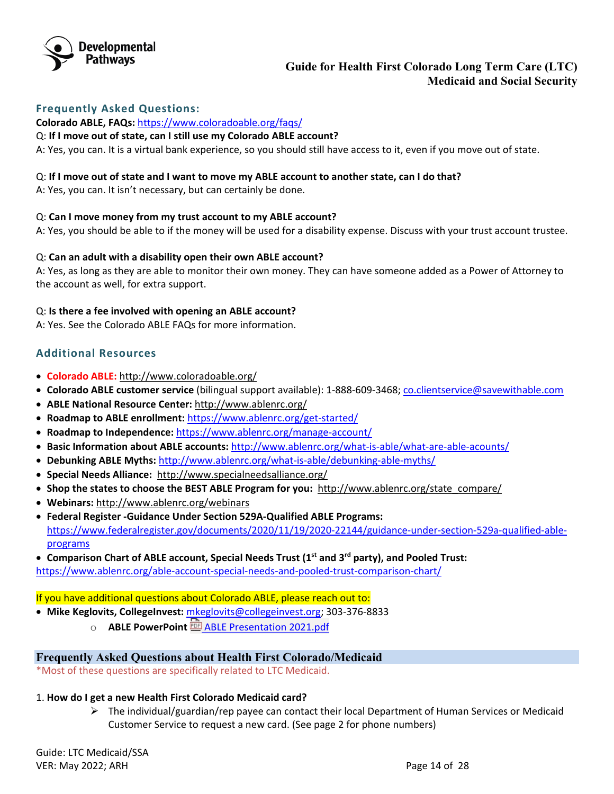

### **Frequently Asked Questions:**

**Colorado ABLE, FAQs:** <https://www.coloradoable.org/faqs/>

#### Q: **If I move out of state, can I still use my Colorado ABLE account?**

A: Yes, you can. It is a virtual bank experience, so you should still have access to it, even if you move out of state.

#### Q: **If I move out of state and I want to move my ABLE account to another state, can I do that?**

A: Yes, you can. It isn't necessary, but can certainly be done.

#### Q: **Can I move money from my trust account to my ABLE account?**

A: Yes, you should be able to if the money will be used for a disability expense. Discuss with your trust account trustee.

#### Q: **Can an adult with a disability open their own ABLE account?**

A: Yes, as long as they are able to monitor their own money. They can have someone added as a Power of Attorney to the account as well, for extra support.

#### Q: **Is there a fee involved with opening an ABLE account?**

A: Yes. See the Colorado ABLE FAQs for more information.

## **Additional Resources**

- **Colorado ABLE:** <http://www.coloradoable.org/>
- **Colorado ABLE customer service** (bilingual support available): 1-888-609-3468; [co.clientservice@savewithable.com](mailto:co.clientservice@savewithable.com)
- **ABLE National Resource Center:** <http://www.ablenrc.org/>
- **Roadmap to ABLE enrollment:** <https://www.ablenrc.org/get-started/>
- **Roadmap to Independence:** <https://www.ablenrc.org/manage-account/>
- **Basic Information about ABLE accounts:** <http://www.ablenrc.org/what-is-able/what-are-able-acounts/>
- **Debunking ABLE Myths:** <http://www.ablenrc.org/what-is-able/debunking-able-myths/>
- **Special Needs Alliance:**<http://www.specialneedsalliance.org/>
- **Shop the states to choose the BEST ABLE Program for you:** [http://www.ablenrc.org/state\\_compare/](http://www.ablenrc.org/state_compare/)
- **Webinars:** <http://www.ablenrc.org/webinars>
- **Federal Register -Guidance Under Section 529A-Qualified ABLE Programs:**  [https://www.federalregister.gov/documents/2020/11/19/2020-22144/guidance-under-section-529a-qualified-able](https://www.federalregister.gov/documents/2020/11/19/2020-22144/guidance-under-section-529a-qualified-able-programs)[programs](https://www.federalregister.gov/documents/2020/11/19/2020-22144/guidance-under-section-529a-qualified-able-programs)

• **Comparison Chart of ABLE account, Special Needs Trust (1st and 3rd party), and Pooled Trust:**

https://www.ablenrc.org/able-account-special-needs-and-pooled-trust-comparison-chart/

### If you have additional questions about Colorado ABLE, please reach out to:

- **Mike Keglovits, CollegeInvest:** [mkeglovits@collegeinvest.org;](mailto:mkeglovits@collegeinvest.org) 303-376-8833
	- o **ABLE PowerPoint**[ABLE Presentation 2021.pdf](https://nmsco.sharepoint.com/:b:/r/sites/cm/cmdocs/ABLE%20Presentation%202021.pdf?csf=1&web=1)

### <span id="page-13-0"></span>**Frequently Asked Questions about Health First Colorado/Medicaid**

\*Most of these questions are specifically related to LTC Medicaid.

#### 1. **How do I get a new Health First Colorado Medicaid card?**

 $\triangleright$  The individual/guardian/rep payee can contact their local Department of Human Services or Medicaid Customer Service to request a new card. (See page 2 for phone numbers)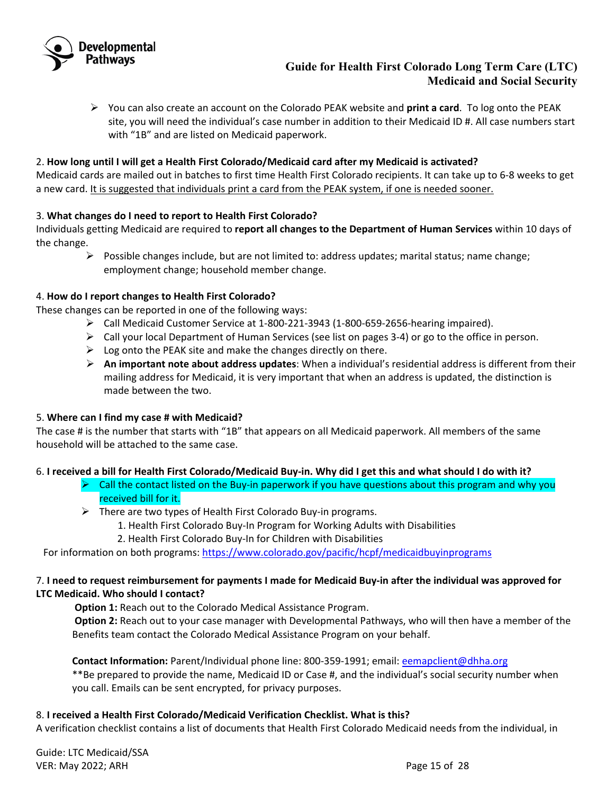

 You can also create an account on the Colorado PEAK website and **print a card**. To log onto the PEAK site, you will need the individual's case number in addition to their Medicaid ID #. All case numbers start with "1B" and are listed on Medicaid paperwork.

## 2. **How long until I will get a Health First Colorado/Medicaid card after my Medicaid is activated?**

Medicaid cards are mailed out in batches to first time Health First Colorado recipients. It can take up to 6-8 weeks to get a new card. It is suggested that individuals print a card from the PEAK system, if one is needed sooner.

### 3. **What changes do I need to report to Health First Colorado?**

Individuals getting Medicaid are required to **report all changes to the Department of Human Services** within 10 days of the change.

 $\triangleright$  Possible changes include, but are not limited to: address updates; marital status; name change; employment change; household member change.

### 4. **How do I report changes to Health First Colorado?**

These changes can be reported in one of the following ways:

- $\triangleright$  Call Medicaid Customer Service at 1-800-221-3943 (1-800-659-2656-hearing impaired).
- $\triangleright$  Call your local Department of Human Services (see list on pages 3-4) or go to the office in person.
- $\triangleright$  Log onto the PEAK site and make the changes directly on there.
- **An important note about address updates**: When a individual's residential address is different from their mailing address for Medicaid, it is very important that when an address is updated, the distinction is made between the two.

### 5. **Where can I find my case # with Medicaid?**

The case # is the number that starts with "1B" that appears on all Medicaid paperwork. All members of the same household will be attached to the same case.

### 6. **I received a bill for Health First Colorado/Medicaid Buy-in. Why did I get this and what should I do with it?**

- $\triangleright$  Call the contact listed on the Buy-in paperwork if you have questions about this program and why you received bill for it.
- $\triangleright$  There are two types of Health First Colorado Buy-in programs.
	- 1. Health First Colorado Buy-In Program for Working Adults with Disabilities
	- 2. Health First Colorado Buy-In for Children with Disabilities

For information on both programs:<https://www.colorado.gov/pacific/hcpf/medicaidbuyinprograms>

## 7. **I need to request reimbursement for payments I made for Medicaid Buy-in after the individual was approved for LTC Medicaid. Who should I contact?**

 **Option 1:** Reach out to the Colorado Medical Assistance Program.

**Option 2:** Reach out to your case manager with Developmental Pathways, who will then have a member of the Benefits team contact the Colorado Medical Assistance Program on your behalf.

#### **Contact Information:** Parent/Individual phone line: 800-359-1991; email: [eemapclient@dhha.org](mailto:eemapclient@dhha.org)

\*\*Be prepared to provide the name, Medicaid ID or Case #, and the individual's social security number when you call. Emails can be sent encrypted, for privacy purposes.

### 8. **I received a Health First Colorado/Medicaid Verification Checklist. What is this?**

A verification checklist contains a list of documents that Health First Colorado Medicaid needs from the individual, in

Guide: LTC Medicaid/SSA VER: May 2022; ARH Page 15 of 28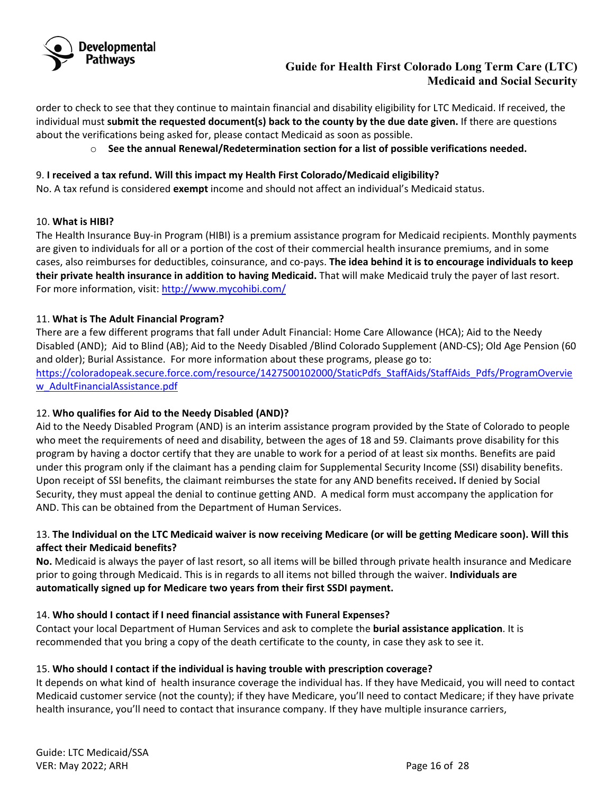

order to check to see that they continue to maintain financial and disability eligibility for LTC Medicaid. If received, the individual must **submit the requested document(s) back to the county by the due date given.** If there are questions about the verifications being asked for, please contact Medicaid as soon as possible.

o **See the annual Renewal/Redetermination section for a list of possible verifications needed.** 

# 9. **I received a tax refund. Will this impact my Health First Colorado/Medicaid eligibility?**

No. A tax refund is considered **exempt** income and should not affect an individual's Medicaid status.

## 10. **What is HIBI?**

The Health Insurance Buy-in Program (HIBI) is a premium assistance program for Medicaid recipients. Monthly payments are given to individuals for all or a portion of the cost of their commercial health insurance premiums, and in some cases, also reimburses for deductibles, coinsurance, and co-pays. **The idea behind it is to encourage individuals to keep their private health insurance in addition to having Medicaid.** That will make Medicaid truly the payer of last resort. For more information, visit:<http://www.mycohibi.com/>

# 11. **What is The Adult Financial Program?**

There are a few different programs that fall under Adult Financial: Home Care Allowance (HCA); Aid to the Needy Disabled (AND); Aid to Blind (AB); Aid to the Needy Disabled /Blind Colorado Supplement (AND-CS); Old Age Pension (60 and older); Burial Assistance. For more information about these programs, please go to: [https://coloradopeak.secure.force.com/resource/1427500102000/StaticPdfs\\_StaffAids/StaffAids\\_Pdfs/ProgramOvervie](https://coloradopeak.secure.force.com/resource/1427500102000/StaticPdfs_StaffAids/StaffAids_Pdfs/ProgramOverview_AdultFinancialAssistance.pdf) [w\\_AdultFinancialAssistance.pdf](https://coloradopeak.secure.force.com/resource/1427500102000/StaticPdfs_StaffAids/StaffAids_Pdfs/ProgramOverview_AdultFinancialAssistance.pdf)

# 12. **Who qualifies for Aid to the Needy Disabled (AND)?**

Aid to the Needy Disabled Program (AND) is an interim assistance program provided by the State of Colorado to people who meet the requirements of need and disability, between the ages of 18 and 59. Claimants prove disability for this program by having a doctor certify that they are unable to work for a period of at least six months. Benefits are paid under this program only if the claimant has a pending claim for Supplemental Security Income (SSI) disability benefits. Upon receipt of SSI benefits, the claimant reimburses the state for any AND benefits received**.** If denied by Social Security, they must appeal the denial to continue getting AND. A medical form must accompany the application for AND. This can be obtained from the Department of Human Services.

# 13. **The Individual on the LTC Medicaid waiver is now receiving Medicare (or will be getting Medicare soon). Will this affect their Medicaid benefits?**

**No.** Medicaid is always the payer of last resort, so all items will be billed through private health insurance and Medicare prior to going through Medicaid. This is in regards to all items not billed through the waiver. **Individuals are automatically signed up for Medicare two years from their first SSDI payment.**

### 14. **Who should I contact if I need financial assistance with Funeral Expenses?**

Contact your local Department of Human Services and ask to complete the **burial assistance application**. It is recommended that you bring a copy of the death certificate to the county, in case they ask to see it.

# 15. **Who should I contact if the individual is having trouble with prescription coverage?**

It depends on what kind of health insurance coverage the individual has. If they have Medicaid, you will need to contact Medicaid customer service (not the county); if they have Medicare, you'll need to contact Medicare; if they have private health insurance, you'll need to contact that insurance company. If they have multiple insurance carriers,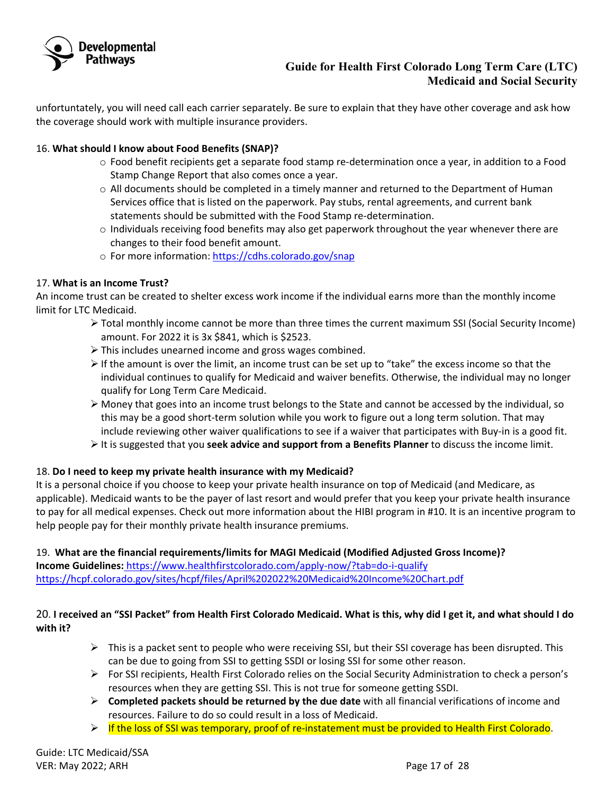

unfortuntately, you will need call each carrier separately. Be sure to explain that they have other coverage and ask how the coverage should work with multiple insurance providers.

## 16. **What should I know about Food Benefits (SNAP)?**

- $\circ$  Food benefit recipients get a separate food stamp re-determination once a year, in addition to a Food Stamp Change Report that also comes once a year.
- $\circ$  All documents should be completed in a timely manner and returned to the Department of Human Services office that is listed on the paperwork. Pay stubs, rental agreements, and current bank statements should be submitted with the Food Stamp re-determination.
- $\circ$  Individuals receiving food benefits may also get paperwork throughout the year whenever there are changes to their food benefit amount.
- o For more information:<https://cdhs.colorado.gov/snap>

## 17. **What is an Income Trust?**

An income trust can be created to shelter excess work income if the individual earns more than the monthly income limit for LTC Medicaid.

- $\triangleright$  Total monthly income cannot be more than three times the current maximum SSI (Social Security Income) amount. For 2022 it is 3x \$841, which is \$2523.
- $\triangleright$  This includes unearned income and gross wages combined.
- $\triangleright$  If the amount is over the limit, an income trust can be set up to "take" the excess income so that the individual continues to qualify for Medicaid and waiver benefits. Otherwise, the individual may no longer qualify for Long Term Care Medicaid.
- $\triangleright$  Money that goes into an income trust belongs to the State and cannot be accessed by the individual, so this may be a good short-term solution while you work to figure out a long term solution. That may include reviewing other waiver qualifications to see if a waiver that participates with Buy-in is a good fit.
- It is suggested that you **seek advice and support from a Benefits Planner** to discuss the income limit.

# 18. **Do I need to keep my private health insurance with my Medicaid?**

It is a personal choice if you choose to keep your private health insurance on top of Medicaid (and Medicare, as applicable). Medicaid wants to be the payer of last resort and would prefer that you keep your private health insurance to pay for all medical expenses. Check out more information about the HIBI program in #10. It is an incentive program to help people pay for their monthly private health insurance premiums.

19. **What are the financial requirements/limits for MAGI Medicaid (Modified Adjusted Gross Income)? Income Guidelines:** <https://www.healthfirstcolorado.com/apply-now/?tab=do-i-qualify> <https://hcpf.colorado.gov/sites/hcpf/files/April%202022%20Medicaid%20Income%20Chart.pdf>

# 20. **I received an "SSI Packet" from Health First Colorado Medicaid. What is this, why did I get it, and what should I do with it?**

- $\triangleright$  This is a packet sent to people who were receiving SSI, but their SSI coverage has been disrupted. This can be due to going from SSI to getting SSDI or losing SSI for some other reason.
- $\triangleright$  For SSI recipients, Health First Colorado relies on the Social Security Administration to check a person's resources when they are getting SSI. This is not true for someone getting SSDI.
- **Completed packets should be returned by the due date** with all financial verifications of income and resources. Failure to do so could result in a loss of Medicaid.
- $\triangleright$  If the loss of SSI was temporary, proof of re-instatement must be provided to Health First Colorado.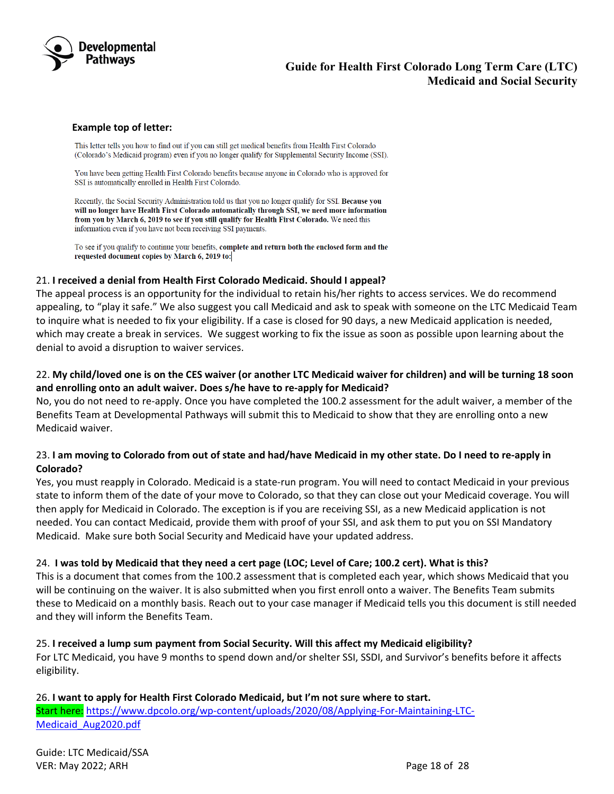

#### **Example top of letter:**

This letter tells you how to find out if you can still get medical benefits from Health First Colorado (Colorado's Medicaid program) even if you no longer qualify for Supplemental Security Income (SSI).

You have been getting Health First Colorado benefits because anyone in Colorado who is approved for SSI is automatically enrolled in Health First Colorado.

Recently, the Social Security Administration told us that you no longer qualify for SSI. Because you will no longer have Health First Colorado automatically through SSI, we need more information from you by March 6, 2019 to see if you still qualify for Health First Colorado. We need this information even if you have not been receiving SSI payments.

To see if you qualify to continue your benefits, complete and return both the enclosed form and the requested document copies by March 6, 2019 to:

#### 21. **I received a denial from Health First Colorado Medicaid. Should I appeal?**

The appeal process is an opportunity for the individual to retain his/her rights to access services. We do recommend appealing, to "play it safe." We also suggest you call Medicaid and ask to speak with someone on the LTC Medicaid Team to inquire what is needed to fix your eligibility. If a case is closed for 90 days, a new Medicaid application is needed, which may create a break in services. We suggest working to fix the issue as soon as possible upon learning about the denial to avoid a disruption to waiver services.

## 22. **My child/loved one is on the CES waiver (or another LTC Medicaid waiver for children) and will be turning 18 soon and enrolling onto an adult waiver. Does s/he have to re-apply for Medicaid?**

No, you do not need to re-apply. Once you have completed the 100.2 assessment for the adult waiver, a member of the Benefits Team at Developmental Pathways will submit this to Medicaid to show that they are enrolling onto a new Medicaid waiver.

## 23. **I am moving to Colorado from out of state and had/have Medicaid in my other state. Do I need to re-apply in Colorado?**

Yes, you must reapply in Colorado. Medicaid is a state-run program. You will need to contact Medicaid in your previous state to inform them of the date of your move to Colorado, so that they can close out your Medicaid coverage. You will then apply for Medicaid in Colorado. The exception is if you are receiving SSI, as a new Medicaid application is not needed. You can contact Medicaid, provide them with proof of your SSI, and ask them to put you on SSI Mandatory Medicaid. Make sure both Social Security and Medicaid have your updated address.

### 24. **I was told by Medicaid that they need a cert page (LOC; Level of Care; 100.2 cert). What is this?**

This is a document that comes from the 100.2 assessment that is completed each year, which shows Medicaid that you will be continuing on the waiver. It is also submitted when you first enroll onto a waiver. The Benefits Team submits these to Medicaid on a monthly basis. Reach out to your case manager if Medicaid tells you this document is still needed and they will inform the Benefits Team.

#### 25. **I received a lump sum payment from Social Security. Will this affect my Medicaid eligibility?**

For LTC Medicaid, you have 9 months to spend down and/or shelter SSI, SSDI, and Survivor's benefits before it affects eligibility.

26. **I want to apply for Health First Colorado Medicaid, but I'm not sure where to start.**  Start here: [https://www.dpcolo.org/wp-content/uploads/2020/08/Applying-For-Maintaining-LTC-](https://www.dpcolo.org/wp-content/uploads/2020/08/Applying-For-Maintaining-LTC-Medicaid_Aug2020.pdf)[Medicaid\\_Aug2020.pdf](https://www.dpcolo.org/wp-content/uploads/2020/08/Applying-For-Maintaining-LTC-Medicaid_Aug2020.pdf)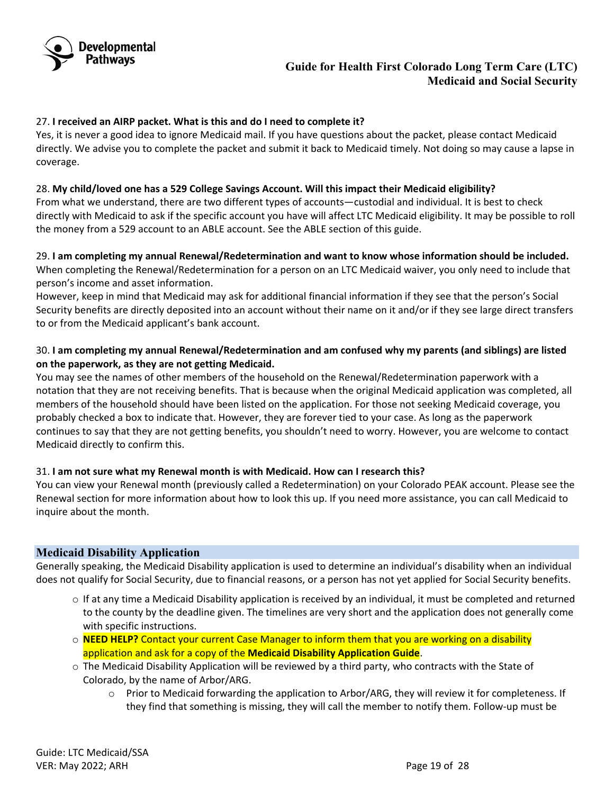

### 27. **I received an AIRP packet. What is this and do I need to complete it?**

Yes, it is never a good idea to ignore Medicaid mail. If you have questions about the packet, please contact Medicaid directly. We advise you to complete the packet and submit it back to Medicaid timely. Not doing so may cause a lapse in coverage.

#### 28. **My child/loved one has a 529 College Savings Account. Will this impact their Medicaid eligibility?**

From what we understand, there are two different types of accounts—custodial and individual. It is best to check directly with Medicaid to ask if the specific account you have will affect LTC Medicaid eligibility. It may be possible to roll the money from a 529 account to an ABLE account. See the ABLE section of this guide.

29. **I am completing my annual Renewal/Redetermination and want to know whose information should be included.** When completing the Renewal/Redetermination for a person on an LTC Medicaid waiver, you only need to include that person's income and asset information.

However, keep in mind that Medicaid may ask for additional financial information if they see that the person's Social Security benefits are directly deposited into an account without their name on it and/or if they see large direct transfers to or from the Medicaid applicant's bank account.

## 30. **I am completing my annual Renewal/Redetermination and am confused why my parents (and siblings) are listed on the paperwork, as they are not getting Medicaid.**

You may see the names of other members of the household on the Renewal/Redetermination paperwork with a notation that they are not receiving benefits. That is because when the original Medicaid application was completed, all members of the household should have been listed on the application. For those not seeking Medicaid coverage, you probably checked a box to indicate that. However, they are forever tied to your case. As long as the paperwork continues to say that they are not getting benefits, you shouldn't need to worry. However, you are welcome to contact Medicaid directly to confirm this.

### 31. **I am not sure what my Renewal month is with Medicaid. How can I research this?**

You can view your Renewal month (previously called a Redetermination) on your Colorado PEAK account. Please see the Renewal section for more information about how to look this up. If you need more assistance, you can call Medicaid to inquire about the month.

### <span id="page-18-0"></span>**Medicaid Disability Application**

Generally speaking, the Medicaid Disability application is used to determine an individual's disability when an individual does not qualify for Social Security, due to financial reasons, or a person has not yet applied for Social Security benefits.

- o If at any time a Medicaid Disability application is received by an individual, it must be completed and returned to the county by the deadline given. The timelines are very short and the application does not generally come with specific instructions.
- o **NEED HELP?** Contact your current Case Manager to inform them that you are working on a disability application and ask for a copy of the **Medicaid Disability Application Guide**.
- o The Medicaid Disability Application will be reviewed by a third party, who contracts with the State of Colorado, by the name of Arbor/ARG.
	- o Prior to Medicaid forwarding the application to Arbor/ARG, they will review it for completeness. If they find that something is missing, they will call the member to notify them. Follow-up must be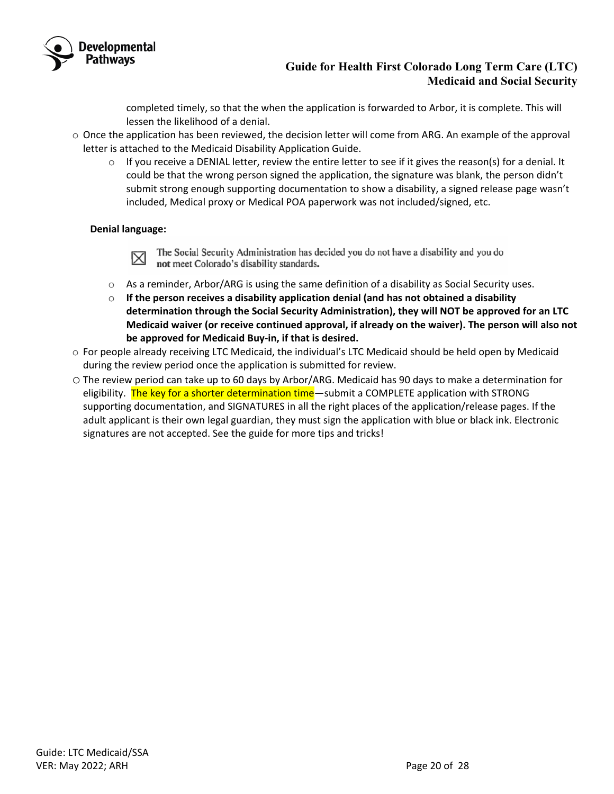

completed timely, so that the when the application is forwarded to Arbor, it is complete. This will lessen the likelihood of a denial.

- $\circ$  Once the application has been reviewed, the decision letter will come from ARG. An example of the approval letter is attached to the Medicaid Disability Application Guide.
	- $\circ$  If you receive a DENIAL letter, review the entire letter to see if it gives the reason(s) for a denial. It could be that the wrong person signed the application, the signature was blank, the person didn't submit strong enough supporting documentation to show a disability, a signed release page wasn't included, Medical proxy or Medical POA paperwork was not included/signed, etc.

### **Denial language:**

The Social Security Administration has decided you do not have a disability and you do  $\boxtimes$ not meet Colorado's disability standards.

- $\circ$  As a reminder, Arbor/ARG is using the same definition of a disability as Social Security uses.
- o **If the person receives a disability application denial (and has not obtained a disability determination through the Social Security Administration), they will NOT be approved for an LTC Medicaid waiver (or receive continued approval, if already on the waiver). The person will also not be approved for Medicaid Buy-in, if that is desired.**
- o For people already receiving LTC Medicaid, the individual's LTC Medicaid should be held open by Medicaid during the review period once the application is submitted for review.
- o The review period can take up to 60 days by Arbor/ARG. Medicaid has 90 days to make a determination for eligibility. The key for a shorter determination time—submit a COMPLETE application with STRONG supporting documentation, and SIGNATURES in all the right places of the application/release pages. If the adult applicant is their own legal guardian, they must sign the application with blue or black ink. Electronic signatures are not accepted. See the guide for more tips and tricks!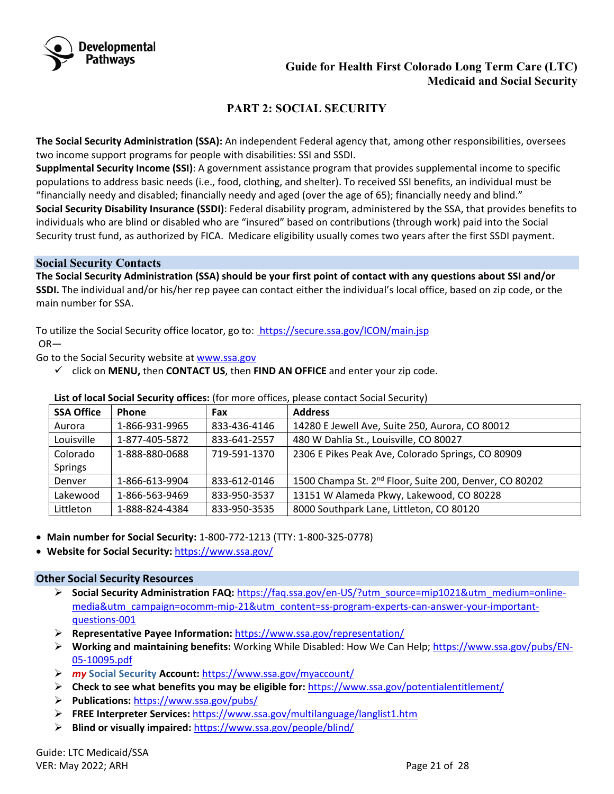

# **PART 2: SOCIAL SECURITY**

<span id="page-20-0"></span>**The Social Security Administration (SSA):** An independent Federal agency that, among other responsibilities, oversees two income support programs for people with disabilities: SSI and SSDI.

**Supplmental Security Income (SSI)**: A government assistance program that provides supplemental income to specific populations to address basic needs (i.e., food, clothing, and shelter). To received SSI benefits, an individual must be "financially needy and disabled; financially needy and aged (over the age of 65); financially needy and blind." **Social Security Disability Insurance (SSDI)**: Federal disability program, administered by the SSA, that provides benefits to individuals who are blind or disabled who are "insured" based on contributions (through work) paid into the Social Security trust fund, as authorized by FICA. Medicare eligibility usually comes two years after the first SSDI payment.

#### <span id="page-20-1"></span>**Social Security Contacts**

**The Social Security Administration (SSA) should be your first point of contact with any questions about SSI and/or SSDI.** The individual and/or his/her rep payee can contact either the individual's local office, based on zip code, or the main number for SSA.

To utilize the Social Security office locator, go to: https://secure.ssa.gov/ICON/main.jsp OR—

Go to the Social Security website at [www.ssa.gov](http://www.ssa.gov/)

 $\checkmark$  click on **MENU**, then **CONTACT US**, then **FIND AN OFFICE** and enter your zip code.

| <b>SSA Office</b> | Phone          | Fax          | <b>Address</b>                                                     |
|-------------------|----------------|--------------|--------------------------------------------------------------------|
| Aurora            | 1-866-931-9965 | 833-436-4146 | 14280 E Jewell Ave, Suite 250, Aurora, CO 80012                    |
| Louisville        | 1-877-405-5872 | 833-641-2557 | 480 W Dahlia St., Louisville, CO 80027                             |
| Colorado          | 1-888-880-0688 | 719-591-1370 | 2306 E Pikes Peak Ave, Colorado Springs, CO 80909                  |
| <b>Springs</b>    |                |              |                                                                    |
| Denver            | 1-866-613-9904 | 833-612-0146 | 1500 Champa St. 2 <sup>nd</sup> Floor, Suite 200, Denver, CO 80202 |
| Lakewood          | 1-866-563-9469 | 833-950-3537 | 13151 W Alameda Pkwy, Lakewood, CO 80228                           |
| Littleton         | 1-888-824-4384 | 833-950-3535 | 8000 Southpark Lane, Littleton, CO 80120                           |

#### **List of local Social Security offices:** (for more offices, please contact Social Security)

- **Main number for Social Security:** 1-800-772-1213 (TTY: 1-800-325-0778)
- **Website for Social Security:** <https://www.ssa.gov/>

### <span id="page-20-2"></span>**Other Social Security Resources**

- **Social Security Administration FAQ:** [https://faq.ssa.gov/en-US/?utm\\_source=mip1021&utm\\_medium=online](https://faq.ssa.gov/en-US/?utm_source=mip1021&utm_medium=online-media&utm_campaign=ocomm-mip-21&utm_content=ss-program-experts-can-answer-your-important-questions-001)[media&utm\\_campaign=ocomm-mip-21&utm\\_content=ss-program-experts-can-answer-your-important](https://faq.ssa.gov/en-US/?utm_source=mip1021&utm_medium=online-media&utm_campaign=ocomm-mip-21&utm_content=ss-program-experts-can-answer-your-important-questions-001)[questions-001](https://faq.ssa.gov/en-US/?utm_source=mip1021&utm_medium=online-media&utm_campaign=ocomm-mip-21&utm_content=ss-program-experts-can-answer-your-important-questions-001)
- **Representative Payee Information:** <https://www.ssa.gov/representation/>
- **Working and maintaining benefits:** Working While Disabled: How We Can Help; [https://www.ssa.gov/pubs/EN-](https://www.ssa.gov/pubs/EN-05-10095.pdf)[05-10095.pdf](https://www.ssa.gov/pubs/EN-05-10095.pdf)
- *my* **Social Security Account:** <https://www.ssa.gov/myaccount/>
- **Check to see what benefits you may be eligible for:** <https://www.ssa.gov/potentialentitlement/>
- **Publications:** <https://www.ssa.gov/pubs/>
- **FREE Interpreter Services:** <https://www.ssa.gov/multilanguage/langlist1.htm>
- **Blind or visually impaired:** <https://www.ssa.gov/people/blind/>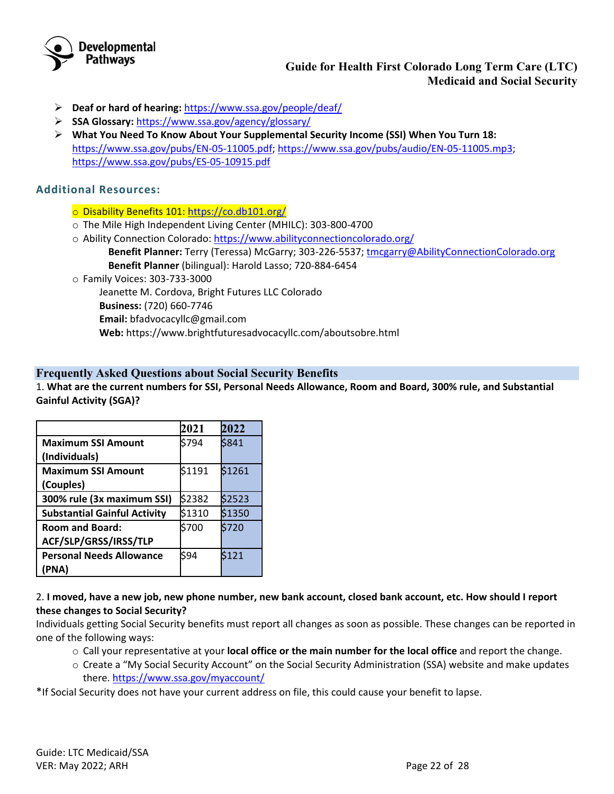

- **Deaf or hard of hearing:** <https://www.ssa.gov/people/deaf/>
- **SSA Glossary:** <https://www.ssa.gov/agency/glossary/>
- **What You Need To Know About Your Supplemental Security Income (SSI) When You Turn 18:** [https://www.ssa.gov/pubs/EN-05-11005.pdf;](https://www.ssa.gov/pubs/EN-05-11005.pdf) [https://www.ssa.gov/pubs/audio/EN-05-11005.mp3;](https://www.ssa.gov/pubs/audio/EN-05-11005.mp3) <https://www.ssa.gov/pubs/ES-05-10915.pdf>

# **Additional Resources:**

- o Disability Benefits 101:<https://co.db101.org/>
- o The Mile High Independent Living Center (MHILC): 303-800-4700
- o Ability Connection Colorado:<https://www.abilityconnectioncolorado.org/> **Benefit Planner:** Terry (Teressa) McGarry; 303-226-5537; [tmcgarry@AbilityConnectionColorado.org](mailto:email@AbilityConnectionColorado.org) **Benefit Planner** (bilingual): Harold Lasso; 720-884-6454
- o Family Voices: 303-733-3000

Jeanette M. Cordova, Bright Futures LLC Colorado

- **Business:** (720) 660-7746
- **Email:** [bfadvocacyllc@gmail.com](mailto:brightfuturesllc.co@gmail.com)
- **Web:** https://www.brightfuturesadvocacyllc.com/aboutsobre.html

## <span id="page-21-0"></span>**Frequently Asked Questions about Social Security Benefits**

1. **What are the current numbers for SSI, Personal Needs Allowance, Room and Board, 300% rule, and Substantial Gainful Activity (SGA)?** 

|                                     | 2021   | 2022   |
|-------------------------------------|--------|--------|
| <b>Maximum SSI Amount</b>           | \$794  | \$841  |
| (Individuals)                       |        |        |
| <b>Maximum SSI Amount</b>           | \$1191 | \$1261 |
| (Couples)                           |        |        |
| 300% rule (3x maximum SSI)          | \$2382 | \$2523 |
| <b>Substantial Gainful Activity</b> | \$1310 | \$1350 |
| <b>Room and Board:</b>              | \$700  | \$720  |
| ACF/SLP/GRSS/IRSS/TLP               |        |        |
| <b>Personal Needs Allowance</b>     | \$94   | \$121  |
| (PNA)                               |        |        |

### 2. **I moved, have a new job, new phone number, new bank account, closed bank account, etc. How should I report these changes to Social Security?**

Individuals getting Social Security benefits must report all changes as soon as possible. These changes can be reported in one of the following ways:

- o Call your representative at your **local office or the main number for the local office** and report the change.
- o Create a "My Social Security Account" on the Social Security Administration (SSA) website and make updates there.<https://www.ssa.gov/myaccount/>

\*If Social Security does not have your current address on file, this could cause your benefit to lapse.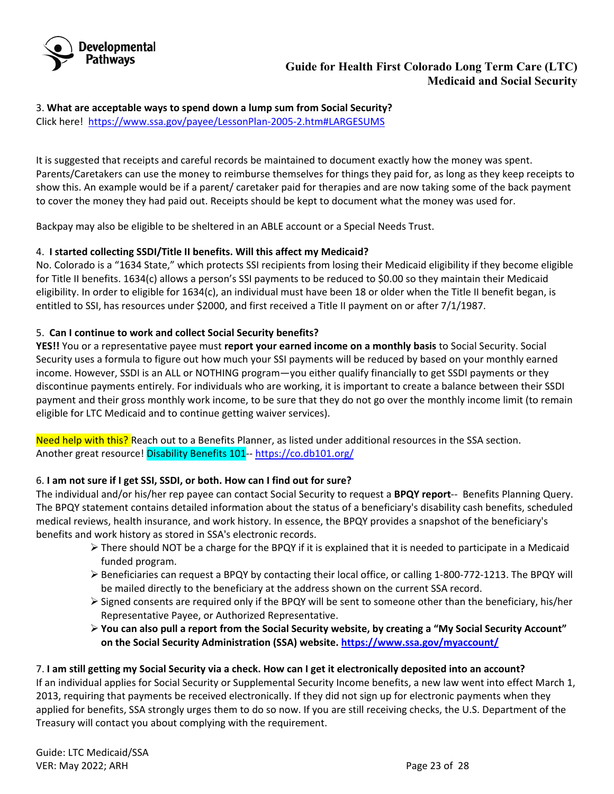

3. **What are acceptable ways to spend down a lump sum from Social Security?** Click here! <https://www.ssa.gov/payee/LessonPlan-2005-2.htm#LARGESUMS>

It is suggested that receipts and careful records be maintained to document exactly how the money was spent. Parents/Caretakers can use the money to reimburse themselves for things they paid for, as long as they keep receipts to show this. An example would be if a parent/ caretaker paid for therapies and are now taking some of the back payment to cover the money they had paid out. Receipts should be kept to document what the money was used for.

Backpay may also be eligible to be sheltered in an ABLE account or a Special Needs Trust.

## 4. **I started collecting SSDI/Title II benefits. Will this affect my Medicaid?**

No. Colorado is a "1634 State," which protects SSI recipients from losing their Medicaid eligibility if they become eligible for Title II benefits. 1634(c) allows a person's SSI payments to be reduced to \$0.00 so they maintain their Medicaid eligibility. In order to eligible for 1634(c), an individual must have been 18 or older when the Title II benefit began, is entitled to SSI, has resources under \$2000, and first received a Title II payment on or after 7/1/1987.

## 5. **Can I continue to work and collect Social Security benefits?**

**YES!!** You or a representative payee must **report your earned income on a monthly basis** to Social Security. Social Security uses a formula to figure out how much your SSI payments will be reduced by based on your monthly earned income. However, SSDI is an ALL or NOTHING program—you either qualify financially to get SSDI payments or they discontinue payments entirely. For individuals who are working, it is important to create a balance between their SSDI payment and their gross monthly work income, to be sure that they do not go over the monthly income limit (to remain eligible for LTC Medicaid and to continue getting waiver services).

Need help with this? Reach out to a Benefits Planner, as listed under additional resources in the SSA section. Another great resource! Disability Benefits 101-[- https://co.db101.org/](https://co.db101.org/)

# 6. **I am not sure if I get SSI, SSDI, or both. How can I find out for sure?**

The individual and/or his/her rep payee can contact Social Security to request a **BPQY report**-- Benefits Planning Query. The BPQY statement contains detailed information about the status of a beneficiary's disability cash benefits, scheduled medical reviews, health insurance, and work history. In essence, the BPQY provides a snapshot of the beneficiary's benefits and work history as stored in SSA's electronic records.

- $\triangleright$  There should NOT be a charge for the BPQY if it is explained that it is needed to participate in a Medicaid funded program.
- Beneficiaries can request a BPQY by contacting their local office, or calling 1-800-772-1213. The BPQY will be mailed directly to the beneficiary at the address shown on the current SSA record.
- Signed consents are required only if the BPQY will be sent to someone other than the beneficiary, his/her Representative Payee, or Authorized Representative.
- **You can also pull a report from the Social Security website, by creating a "My Social Security Account" on the Social Security Administration (SSA) website. <https://www.ssa.gov/myaccount/>**

# 7. **I am still getting my Social Security via a check. How can I get it electronically deposited into an account?**

If an individual applies for Social Security or Supplemental Security Income benefits, a new law went into effect March 1, 2013, requiring that payments be received electronically. If they did not sign up for electronic payments when they applied for benefits, SSA strongly urges them to do so now. If you are still receiving checks, the U.S. Department of the Treasury will contact you about complying with the requirement.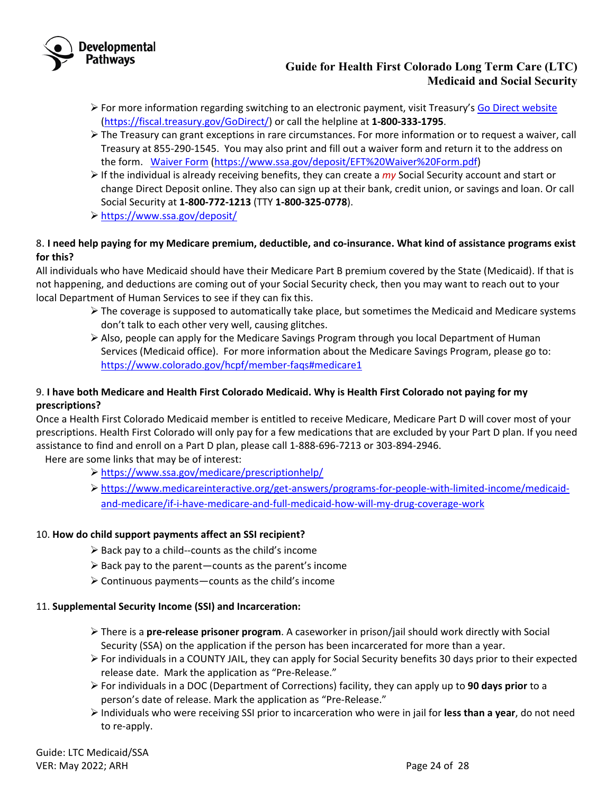

- $\triangleright$  For more information regarding switching to an electronic payment, visit Treasury's [Go Direct website](http://godirect.org/) [\(https://fiscal.treasury.gov/GoDirect/\)](https://fiscal.treasury.gov/GoDirect/) or call the helpline at **1-800-333-1795**.
- $\triangleright$  The Treasury can grant exceptions in rare circumstances. For more information or to request a waiver, call Treasury at 855-290-1545. You may also print and fill out a waiver form and return it to the address on the form. [Waiver Form](https://www.socialsecurity.gov/deposit/EFT%20Waiver%20Form.pdf) [\(https://www.ssa.gov/deposit/EFT%20Waiver%20Form.pdf\)](https://www.ssa.gov/deposit/EFT%20Waiver%20Form.pdf)
- If the individual is already receiving benefits, they can create a *my* [Social Security a](https://secure.ssa.gov/RIL/)ccount and start or change Direct Deposit online. They also can sign up at their bank, credit union, or savings and loan. Or call Social Security at **1-800-772-1213** (TTY **1-800-325-0778**).
- <https://www.ssa.gov/deposit/>

# 8. **I need help paying for my Medicare premium, deductible, and co-insurance. What kind of assistance programs exist for this?**

All individuals who have Medicaid should have their Medicare Part B premium covered by the State (Medicaid). If that is not happening, and deductions are coming out of your Social Security check, then you may want to reach out to your local Department of Human Services to see if they can fix this.

- $\triangleright$  The coverage is supposed to automatically take place, but sometimes the Medicaid and Medicare systems don't talk to each other very well, causing glitches.
- $\triangleright$  Also, people can apply for the Medicare Savings Program through you local Department of Human Services (Medicaid office). For more information about the Medicare Savings Program, please go to: <https://www.colorado.gov/hcpf/member-faqs#medicare1>

# 9. **I have both Medicare and Health First Colorado Medicaid. Why is Health First Colorado not paying for my prescriptions?**

Once a Health First Colorado Medicaid member is entitled to receive Medicare, Medicare Part D will cover most of your prescriptions. Health First Colorado will only pay for a few medications that are excluded by your Part D plan. If you need assistance to find and enroll on a Part D plan, please call 1-888-696-7213 or 303-894-2946.

Here are some links that may be of interest:

- <https://www.ssa.gov/medicare/prescriptionhelp/>
- [https://www.medicareinteractive.org/get-answers/programs-for-people-with-limited-income/medicaid](https://www.medicareinteractive.org/get-answers/programs-for-people-with-limited-income/medicaid-and-medicare/if-i-have-medicare-and-full-medicaid-how-will-my-drug-coverage-work)[and-medicare/if-i-have-medicare-and-full-medicaid-how-will-my-drug-coverage-work](https://www.medicareinteractive.org/get-answers/programs-for-people-with-limited-income/medicaid-and-medicare/if-i-have-medicare-and-full-medicaid-how-will-my-drug-coverage-work)

# 10. **How do child support payments affect an SSI recipient?**

- $\triangleright$  Back pay to a child--counts as the child's income
- $\triangleright$  Back pay to the parent—counts as the parent's income
- $\triangleright$  Continuous payments—counts as the child's income

### 11. **Supplemental Security Income (SSI) and Incarceration:**

- There is a **pre-release prisoner program**. A caseworker in prison/jail should work directly with Social Security (SSA) on the application if the person has been incarcerated for more than a year.
- $\triangleright$  For individuals in a COUNTY JAIL, they can apply for Social Security benefits 30 days prior to their expected release date. Mark the application as "Pre-Release."
- For individuals in a DOC (Department of Corrections) facility, they can apply up to **90 days prior** to a person's date of release. Mark the application as "Pre-Release."
- Individuals who were receiving SSI prior to incarceration who were in jail for **less than a year**, do not need to re-apply.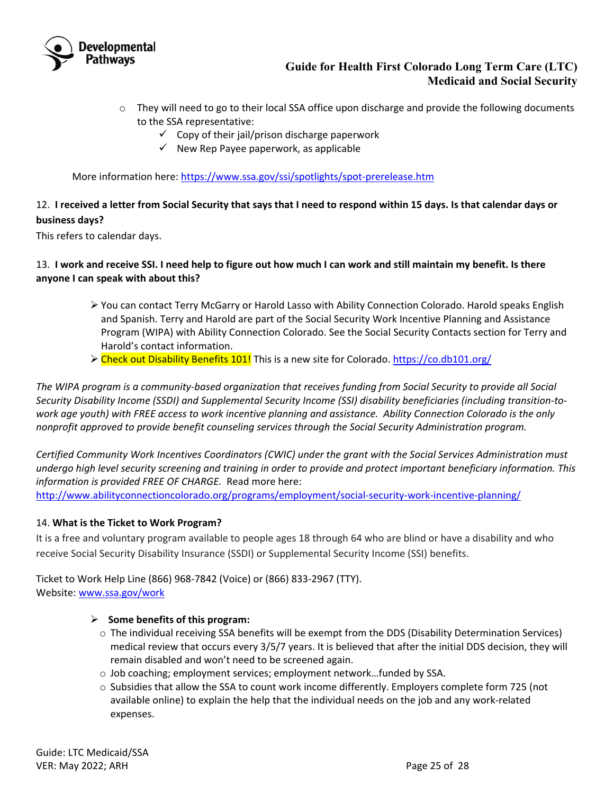

- $\circ$  They will need to go to their local SSA office upon discharge and provide the following documents to the SSA representative:
	- $\checkmark$  Copy of their jail/prison discharge paperwork
	- $\checkmark$  New Rep Payee paperwork, as applicable

More information here[: https://www.ssa.gov/ssi/spotlights/spot-prerelease.htm](https://www.ssa.gov/ssi/spotlights/spot-prerelease.htm)

# 12. **I received a letter from Social Security that says that I need to respond within 15 days. Is that calendar days or business days?**

This refers to calendar days.

## 13. **I work and receive SSI. I need help to figure out how much I can work and still maintain my benefit. Is there anyone I can speak with about this?**

- You can contact Terry McGarry or Harold Lasso with Ability Connection Colorado. Harold speaks English and Spanish. Terry and Harold are part of the Social Security Work Incentive Planning and Assistance Program (WIPA) with Ability Connection Colorado. See the Social Security Contacts section for Terry and Harold's contact information.
- Check out Disability Benefits 101! This is a new site for Colorado.<https://co.db101.org/>

*The WIPA program is a community-based organization that receives funding from Social Security to provide all Social Security Disability Income (SSDI) and Supplemental Security Income (SSI) disability beneficiaries (including transition-towork age youth) with FREE access to work incentive planning and assistance. Ability Connection Colorado is the only nonprofit approved to provide benefit counseling services through the Social Security Administration program.*

*Certified Community Work Incentives Coordinators (CWIC) under the grant with the Social Services Administration must undergo high level security screening and training in order to provide and protect important beneficiary information. This information is provided FREE OF CHARGE.* Read more here:

<http://www.abilityconnectioncolorado.org/programs/employment/social-security-work-incentive-planning/>

### 14. **What is the Ticket to Work Program?**

It is a free and voluntary program available to people ages 18 through 64 who are blind or have a disability and who receive Social Security Disability Insurance (SSDI) or Supplemental Security Income (SSI) benefits.

Ticket to Work Help Line (866) 968-7842 (Voice) or (866) 833-2967 (TTY). Website: [www.ssa.gov/work](http://www.ssa.gov/work)

### **Some benefits of this program:**

- o The individual receiving SSA benefits will be exempt from the DDS (Disability Determination Services) medical review that occurs every 3/5/7 years. It is believed that after the initial DDS decision, they will remain disabled and won't need to be screened again.
- o Job coaching; employment services; employment network…funded by SSA.
- o Subsidies that allow the SSA to count work income differently. Employers complete form 725 (not available online) to explain the help that the individual needs on the job and any work-related expenses.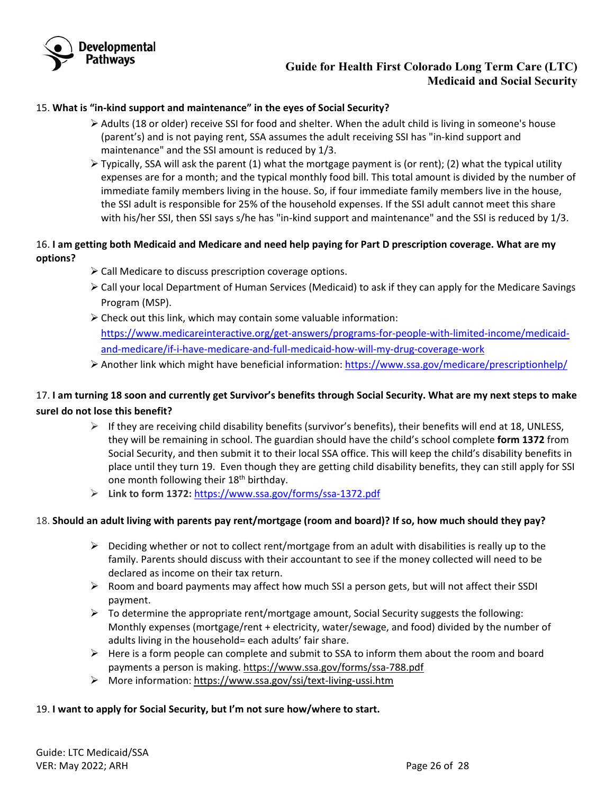

### 15. **What is "in-kind support and maintenance" in the eyes of Social Security?**

- $\triangleright$  Adults (18 or older) receive SSI for food and shelter. When the adult child is living in someone's house (parent's) and is not paying rent, SSA assumes the adult receiving SSI has "in-kind support and maintenance" and the SSI amount is reduced by 1/3.
- $\triangleright$  Typically, SSA will ask the parent (1) what the mortgage payment is (or rent); (2) what the typical utility expenses are for a month; and the typical monthly food bill. This total amount is divided by the number of immediate family members living in the house. So, if four immediate family members live in the house, the SSI adult is responsible for 25% of the household expenses. If the SSI adult cannot meet this share with his/her SSI, then SSI says s/he has "in-kind support and maintenance" and the SSI is reduced by 1/3.

## 16. **I am getting both Medicaid and Medicare and need help paying for Part D prescription coverage. What are my options?**

- $\triangleright$  Call Medicare to discuss prescription coverage options.
- $\triangleright$  Call your local Department of Human Services (Medicaid) to ask if they can apply for the Medicare Savings Program (MSP).
- $\triangleright$  Check out this link, which may contain some valuable information: [https://www.medicareinteractive.org/get-answers/programs-for-people-with-limited-income/medicaid](https://www.medicareinteractive.org/get-answers/programs-for-people-with-limited-income/medicaid-and-medicare/if-i-have-medicare-and-full-medicaid-how-will-my-drug-coverage-work)[and-medicare/if-i-have-medicare-and-full-medicaid-how-will-my-drug-coverage-work](https://www.medicareinteractive.org/get-answers/programs-for-people-with-limited-income/medicaid-and-medicare/if-i-have-medicare-and-full-medicaid-how-will-my-drug-coverage-work)
- Another link which might have beneficial information:<https://www.ssa.gov/medicare/prescriptionhelp/>

# 17. **I am turning 18 soon and currently get Survivor's benefits through Social Security. What are my next steps to make sureI do not lose this benefit?**

- $\triangleright$  If they are receiving child disability benefits (survivor's benefits), their benefits will end at 18, UNLESS, they will be remaining in school. The guardian should have the child's school complete **form 1372** from Social Security, and then submit it to their local SSA office. This will keep the child's disability benefits in place until they turn 19. Even though they are getting child disability benefits, they can still apply for SSI one month following their 18<sup>th</sup> birthday.
- **Link to form 1372:** <https://www.ssa.gov/forms/ssa-1372.pdf>

### 18. **Should an adult living with parents pay rent/mortgage (room and board)? If so, how much should they pay?**

- $\triangleright$  Deciding whether or not to collect rent/mortgage from an adult with disabilities is really up to the family. Parents should discuss with their accountant to see if the money collected will need to be declared as income on their tax return.
- Room and board payments may affect how much SSI a person gets, but will not affect their SSDI payment.
- $\triangleright$  To determine the appropriate rent/mortgage amount, Social Security suggests the following: Monthly expenses (mortgage/rent + electricity, water/sewage, and food) divided by the number of adults living in the household= each adults' fair share.
- $\triangleright$  Here is a form people can complete and submit to SSA to inform them about the room and board payments a person is making.<https://www.ssa.gov/forms/ssa-788.pdf>
- More information[: https://www.ssa.gov/ssi/text-living-ussi.htm](https://www.ssa.gov/ssi/text-living-ussi.htm)

### 19. **I want to apply for Social Security, but I'm not sure how/where to start.**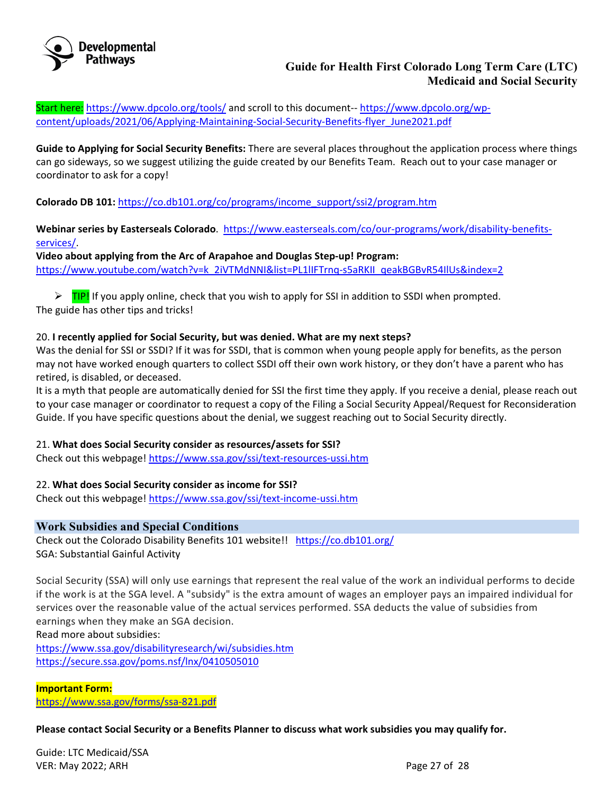

Start here: <https://www.dpcolo.org/tools/> and scroll to this document-- [https://www.dpcolo.org/wp](https://www.dpcolo.org/wp-content/uploads/2021/06/Applying-Maintaining-Social-Security-Benefits-flyer_June2021.pdf)[content/uploads/2021/06/Applying-Maintaining-Social-Security-Benefits-flyer\\_June2021.pdf](https://www.dpcolo.org/wp-content/uploads/2021/06/Applying-Maintaining-Social-Security-Benefits-flyer_June2021.pdf)

**Guide to Applying for Social Security Benefits:** There are several places throughout the application process where things can go sideways, so we suggest utilizing the guide created by our Benefits Team. Reach out to your case manager or coordinator to ask for a copy!

**Colorado DB 101:** [https://co.db101.org/co/programs/income\\_support/ssi2/program.htm](https://co.db101.org/co/programs/income_support/ssi2/program.htm)

**Webinar series by Easterseals Colorado**. [https://www.easterseals.com/co/our-programs/work/disability-benefits](https://www.easterseals.com/co/our-programs/work/disability-benefits-services/)[services/.](https://www.easterseals.com/co/our-programs/work/disability-benefits-services/)

**Video about applying from the Arc of Arapahoe and Douglas Step-up! Program:** [https://www.youtube.com/watch?v=k\\_2iVTMdNNI&list=PL1lIFTrnq-s5aRKII\\_qeakBGBvR54IlUs&index=2](https://www.youtube.com/watch?v=k_2iVTMdNNI&list=PL1lIFTrnq-s5aRKII_qeakBGBvR54IlUs&index=2)

 $\triangleright$  TIP! If you apply online, check that you wish to apply for SSI in addition to SSDI when prompted. The guide has other tips and tricks!

# 20. **I recently applied for Social Security, but was denied. What are my next steps?**

Was the denial for SSI or SSDI? If it was for SSDI, that is common when young people apply for benefits, as the person may not have worked enough quarters to collect SSDI off their own work history, or they don't have a parent who has retired, is disabled, or deceased.

It is a myth that people are automatically denied for SSI the first time they apply. If you receive a denial, please reach out to your case manager or coordinator to request a copy of the Filing a Social Security Appeal/Request for Reconsideration Guide. If you have specific questions about the denial, we suggest reaching out to Social Security directly.

### 21. **What does Social Security consider as resources/assets for SSI?**

Check out this webpage[! https://www.ssa.gov/ssi/text-resources-ussi.htm](https://www.ssa.gov/ssi/text-resources-ussi.htm)

### 22. **What does Social Security consider as income for SSI?**

Check out this webpage[! https://www.ssa.gov/ssi/text-income-ussi.htm](https://www.ssa.gov/ssi/text-income-ussi.htm)

### <span id="page-26-0"></span>**Work Subsidies and Special Conditions**

Check out the Colorado Disability Benefits 101 website!! <https://co.db101.org/> SGA: Substantial Gainful Activity

Social Security (SSA) will only use earnings that represent the real value of the work an individual performs to decide if the work is at the SGA level. A "subsidy" is the extra amount of wages an employer pays an impaired individual for services over the reasonable value of the actual services performed. SSA deducts the value of subsidies from earnings when they make an SGA decision.

Read more about subsidies:

<https://www.ssa.gov/disabilityresearch/wi/subsidies.htm> <https://secure.ssa.gov/poms.nsf/lnx/0410505010>

# **Important Form:**

<https://www.ssa.gov/forms/ssa-821.pdf>

**Please contact Social Security or a Benefits Planner to discuss what work subsidies you may qualify for.** 

Guide: LTC Medicaid/SSA VER: May 2022; ARH Page 27 of 28